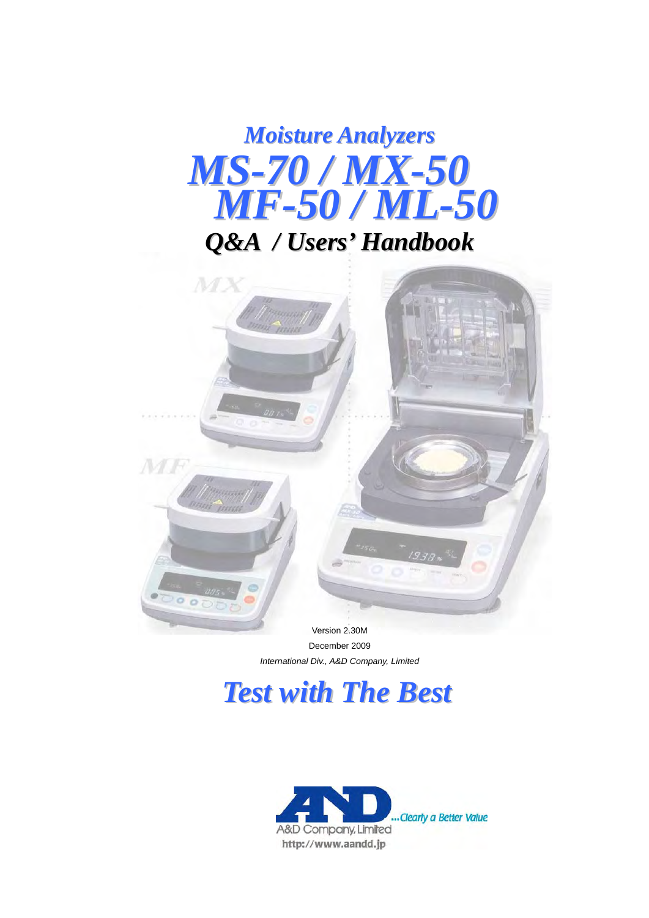# *Moisture Analyzers MF-50 / ML-50 Q&A / Users' Handbook MS-70/MX-50*



December 2009 *International Div., A&D Company, Limited* 

# *Test with The Best*

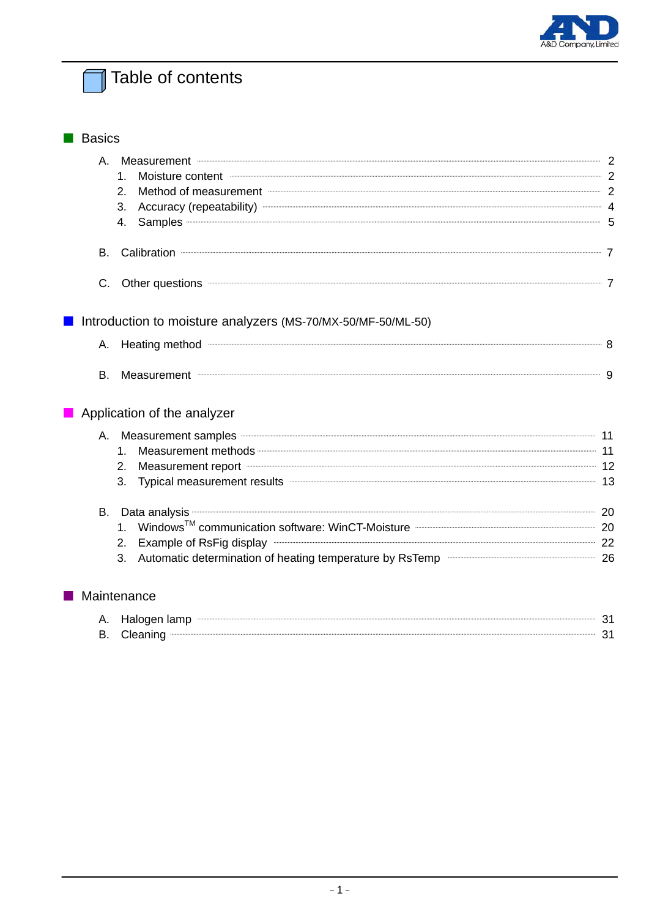

# Table of contents

| <b>Basics</b> |                                                                                                                                                                                                                                            |  |
|---------------|--------------------------------------------------------------------------------------------------------------------------------------------------------------------------------------------------------------------------------------------|--|
|               | A. Measurement 2008. The contract of the contract of the contract of the contract of the contract of the contract of the contract of the contract of the contract of the contract of the contract of the contract of the contr             |  |
|               | Moisture content <b>with the content of the content of the content</b> of the content of the content of the content of the content of the content of the content of the content of the content of the content of the content of the<br>1.  |  |
|               | Method of measurement <b>Election and Construct Construction</b> 2<br>2.                                                                                                                                                                   |  |
|               | Accuracy (repeatability) <b>Contract Accuracy</b> 4<br>3.                                                                                                                                                                                  |  |
|               | 4.                                                                                                                                                                                                                                         |  |
| В.            | Calibration <b>Calibration</b> 7                                                                                                                                                                                                           |  |
| C.            | Other questions <b>contract to the contract of the contract of the contract of the contract of the contract of the contract of the contract of the contract of the contract of the contract of the contract of the contract of t</b>       |  |
|               | Introduction to moisture analyzers (MS-70/MX-50/MF-50/ML-50)                                                                                                                                                                               |  |
|               | A. Heating method <b>Constitution</b> 8                                                                                                                                                                                                    |  |
| В.            | Measurement <b>Construction</b> and a strategy of the strategy of the strategy of the strategy of the strategy of the strategy of the strategy of the strategy of the strategy of the strategy of the strategy of the strategy of t        |  |
|               | Application of the analyzer                                                                                                                                                                                                                |  |
|               | A. Measurement samples <b>Constitution</b> and the maintenance of the mail of the term of the mail of the mail of the mail of the mail of the mail of the mail of the mail of the mail of the mail of the mail of the mail of the m        |  |
|               | Measurement methods <b>Contract and Contract and Contract and Contract and Contract and Contract and Contract and A</b><br>1.                                                                                                              |  |
|               | Measurement report <b>All and True and True All and True All and True All and True All and True All and True All and True All and True All and True All and True All and True All and True All and True All and True All and Tru</b><br>2. |  |
|               | Typical measurement results <b>Constituent and Constituent and Constantine and Constantine and Constituent and Constantine and Constantine and Constantine and Constantine and Constantine and Constantine and Constantine and C</b><br>3. |  |
|               | B. Data analysis <b>continuum contract and the contract analysis</b> 20                                                                                                                                                                    |  |
|               | 1. Windows <sup>TM</sup> communication software: WinCT-Moisture <b>Communication</b> 20                                                                                                                                                    |  |
|               | Example of RsFig display <b>Constitution</b> 22<br>2.                                                                                                                                                                                      |  |
|               | Automatic determination of heating temperature by RsTemp <b>CONSTIANAL SETEMBLE</b> 26<br>3.                                                                                                                                               |  |
|               | Maintenance                                                                                                                                                                                                                                |  |
| Α.            |                                                                                                                                                                                                                                            |  |
| В.            | Cleaning <b>21</b> Cleaning 21                                                                                                                                                                                                             |  |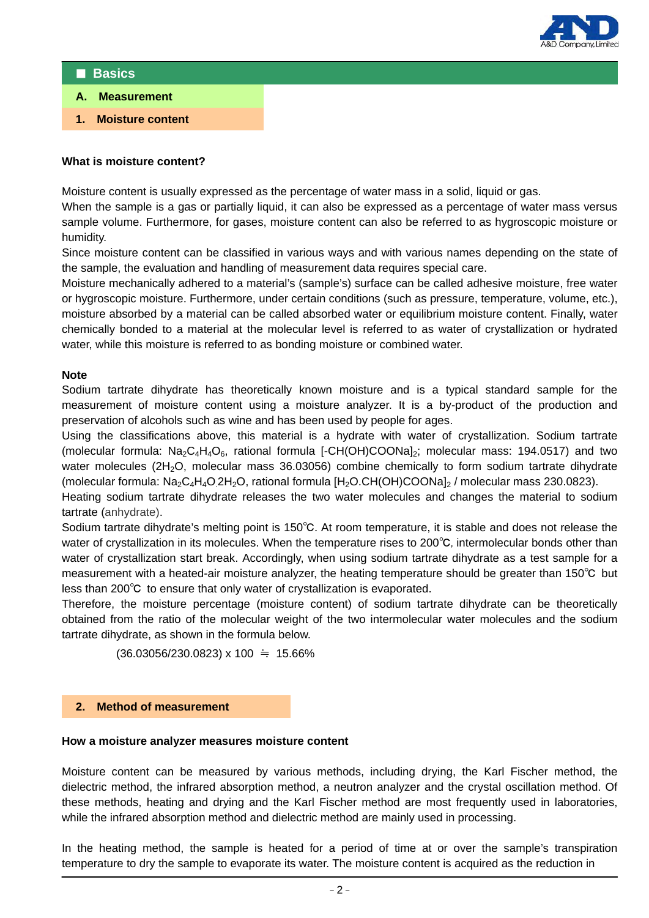

### ■ **Basics**

- **A. Measurement**
- **1. Moisture content**

## **What is moisture content?**

Moisture content is usually expressed as the percentage of water mass in a solid, liquid or gas.

When the sample is a gas or partially liquid, it can also be expressed as a percentage of water mass versus sample volume. Furthermore, for gases, moisture content can also be referred to as hygroscopic moisture or humidity.

Since moisture content can be classified in various ways and with various names depending on the state of the sample, the evaluation and handling of measurement data requires special care.

Moisture mechanically adhered to a material's (sample's) surface can be called adhesive moisture, free water or hygroscopic moisture. Furthermore, under certain conditions (such as pressure, temperature, volume, etc.), moisture absorbed by a material can be called absorbed water or equilibrium moisture content. Finally, water chemically bonded to a material at the molecular level is referred to as water of crystallization or hydrated water, while this moisture is referred to as bonding moisture or combined water.

## **Note**

Sodium tartrate dihydrate has theoretically known moisture and is a typical standard sample for the measurement of moisture content using a moisture analyzer. It is a by-product of the production and preservation of alcohols such as wine and has been used by people for ages.

Using the classifications above, this material is a hydrate with water of crystallization. Sodium tartrate (molecular formula:  $Na<sub>2</sub>C<sub>4</sub>H<sub>4</sub>O<sub>6</sub>$ , rational formula [-CH(OH)COONa]<sub>2</sub>; molecular mass: 194.0517) and two water molecules (2H<sub>2</sub>O, molecular mass 36.03056) combine chemically to form sodium tartrate dihydrate (molecular formula:  $\text{Na}_2\text{C}_4\text{H}_4\text{O}$  2H<sub>2</sub>O, rational formula [H<sub>2</sub>O.CH(OH)COONa]<sub>2</sub> / molecular mass 230.0823).

Heating sodium tartrate dihydrate releases the two water molecules and changes the material to sodium tartrate (anhydrate).

Sodium tartrate dihydrate's melting point is 150℃. At room temperature, it is stable and does not release the water of crystallization in its molecules. When the temperature rises to 200℃, intermolecular bonds other than water of crystallization start break. Accordingly, when using sodium tartrate dihydrate as a test sample for a measurement with a heated-air moisture analyzer, the heating temperature should be greater than 150℃ but less than 200℃ to ensure that only water of crystallization is evaporated.

Therefore, the moisture percentage (moisture content) of sodium tartrate dihydrate can be theoretically obtained from the ratio of the molecular weight of the two intermolecular water molecules and the sodium tartrate dihydrate, as shown in the formula below.

 $(36.03056/230.0823) \times 100 = 15.66\%$ 

### **2. Method of measurement**

### **How a moisture analyzer measures moisture content**

Moisture content can be measured by various methods, including drying, the Karl Fischer method, the dielectric method, the infrared absorption method, a neutron analyzer and the crystal oscillation method. Of these methods, heating and drying and the Karl Fischer method are most frequently used in laboratories, while the infrared absorption method and dielectric method are mainly used in processing.

In the heating method, the sample is heated for a period of time at or over the sample's transpiration temperature to dry the sample to evaporate its water. The moisture content is acquired as the reduction in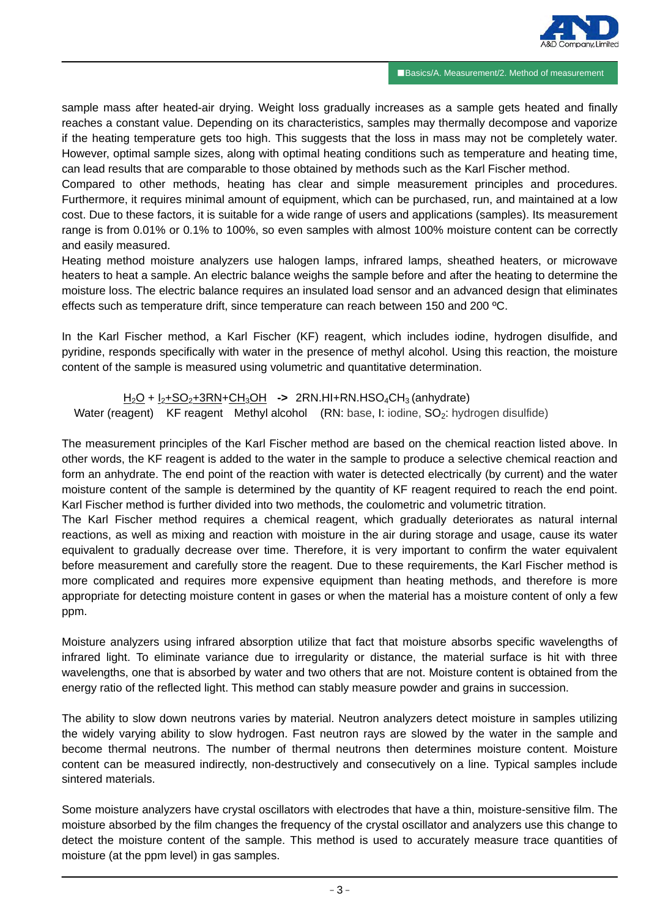

■Basics/A. Measurement/2. Method of measurement

sample mass after heated-air drying. Weight loss gradually increases as a sample gets heated and finally reaches a constant value. Depending on its characteristics, samples may thermally decompose and vaporize if the heating temperature gets too high. This suggests that the loss in mass may not be completely water. However, optimal sample sizes, along with optimal heating conditions such as temperature and heating time, can lead results that are comparable to those obtained by methods such as the Karl Fischer method.

Compared to other methods, heating has clear and simple measurement principles and procedures. Furthermore, it requires minimal amount of equipment, which can be purchased, run, and maintained at a low cost. Due to these factors, it is suitable for a wide range of users and applications (samples). Its measurement range is from 0.01% or 0.1% to 100%, so even samples with almost 100% moisture content can be correctly and easily measured.

Heating method moisture analyzers use halogen lamps, infrared lamps, sheathed heaters, or microwave heaters to heat a sample. An electric balance weighs the sample before and after the heating to determine the moisture loss. The electric balance requires an insulated load sensor and an advanced design that eliminates effects such as temperature drift, since temperature can reach between 150 and 200 ºC.

In the Karl Fischer method, a Karl Fischer (KF) reagent, which includes iodine, hydrogen disulfide, and pyridine, responds specifically with water in the presence of methyl alcohol. Using this reaction, the moisture content of the sample is measured using volumetric and quantitative determination.

 H2O + I2+SO2+3RN+CH3OH **->** 2RN.HI+RN.HSO4CH3 (anhydrate) Water (reagent) KF reagent Methyl alcohol (RN: base, I: iodine, SO<sub>2</sub>: hydrogen disulfide)

The measurement principles of the Karl Fischer method are based on the chemical reaction listed above. In other words, the KF reagent is added to the water in the sample to produce a selective chemical reaction and form an anhydrate. The end point of the reaction with water is detected electrically (by current) and the water moisture content of the sample is determined by the quantity of KF reagent required to reach the end point. Karl Fischer method is further divided into two methods, the coulometric and volumetric titration.

The Karl Fischer method requires a chemical reagent, which gradually deteriorates as natural internal reactions, as well as mixing and reaction with moisture in the air during storage and usage, cause its water equivalent to gradually decrease over time. Therefore, it is very important to confirm the water equivalent before measurement and carefully store the reagent. Due to these requirements, the Karl Fischer method is more complicated and requires more expensive equipment than heating methods, and therefore is more appropriate for detecting moisture content in gases or when the material has a moisture content of only a few ppm.

Moisture analyzers using infrared absorption utilize that fact that moisture absorbs specific wavelengths of infrared light. To eliminate variance due to irregularity or distance, the material surface is hit with three wavelengths, one that is absorbed by water and two others that are not. Moisture content is obtained from the energy ratio of the reflected light. This method can stably measure powder and grains in succession.

The ability to slow down neutrons varies by material. Neutron analyzers detect moisture in samples utilizing the widely varying ability to slow hydrogen. Fast neutron rays are slowed by the water in the sample and become thermal neutrons. The number of thermal neutrons then determines moisture content. Moisture content can be measured indirectly, non-destructively and consecutively on a line. Typical samples include sintered materials.

Some moisture analyzers have crystal oscillators with electrodes that have a thin, moisture-sensitive film. The moisture absorbed by the film changes the frequency of the crystal oscillator and analyzers use this change to detect the moisture content of the sample. This method is used to accurately measure trace quantities of moisture (at the ppm level) in gas samples.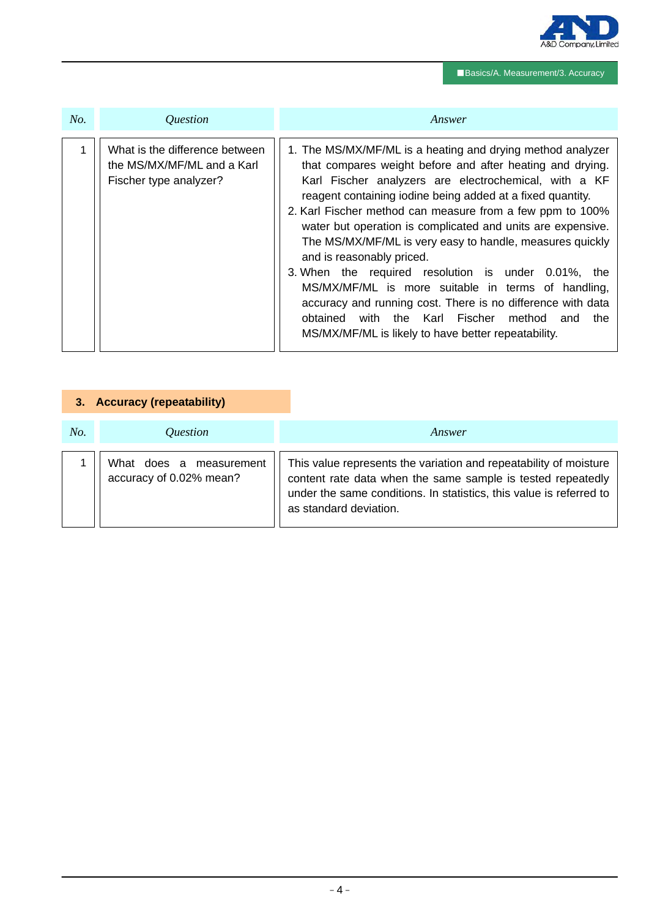

# ■Basics/A. Measurement/3. Accuracy

| No. | <i><u><b>Ouestion</b></u></i>                                                          | Answer                                                                                                                                                                                                                                                                                                                                                                                                                                                                                                                                                                                                                                                                                                                                                                 |  |  |  |
|-----|----------------------------------------------------------------------------------------|------------------------------------------------------------------------------------------------------------------------------------------------------------------------------------------------------------------------------------------------------------------------------------------------------------------------------------------------------------------------------------------------------------------------------------------------------------------------------------------------------------------------------------------------------------------------------------------------------------------------------------------------------------------------------------------------------------------------------------------------------------------------|--|--|--|
|     | What is the difference between<br>the MS/MX/MF/ML and a Karl<br>Fischer type analyzer? | 1. The MS/MX/MF/ML is a heating and drying method analyzer<br>that compares weight before and after heating and drying.<br>Karl Fischer analyzers are electrochemical, with a KF<br>reagent containing iodine being added at a fixed quantity.<br>2. Karl Fischer method can measure from a few ppm to 100%<br>water but operation is complicated and units are expensive.<br>The MS/MX/MF/ML is very easy to handle, measures quickly<br>and is reasonably priced.<br>3. When the required resolution is under 0.01%, the<br>MS/MX/MF/ML is more suitable in terms of handling,<br>accuracy and running cost. There is no difference with data<br>the Karl Fischer<br>obtained<br>method<br>with<br>and<br>the<br>MS/MX/MF/ML is likely to have better repeatability. |  |  |  |

| З.  | <b>Accuracy (repeatability)</b>                    |                                                                                                                                                                                                                                   |
|-----|----------------------------------------------------|-----------------------------------------------------------------------------------------------------------------------------------------------------------------------------------------------------------------------------------|
| No. | Question                                           | Answer                                                                                                                                                                                                                            |
|     | What does a measurement<br>accuracy of 0.02% mean? | This value represents the variation and repeatability of moisture<br>content rate data when the same sample is tested repeatedly<br>under the same conditions. In statistics, this value is referred to<br>as standard deviation. |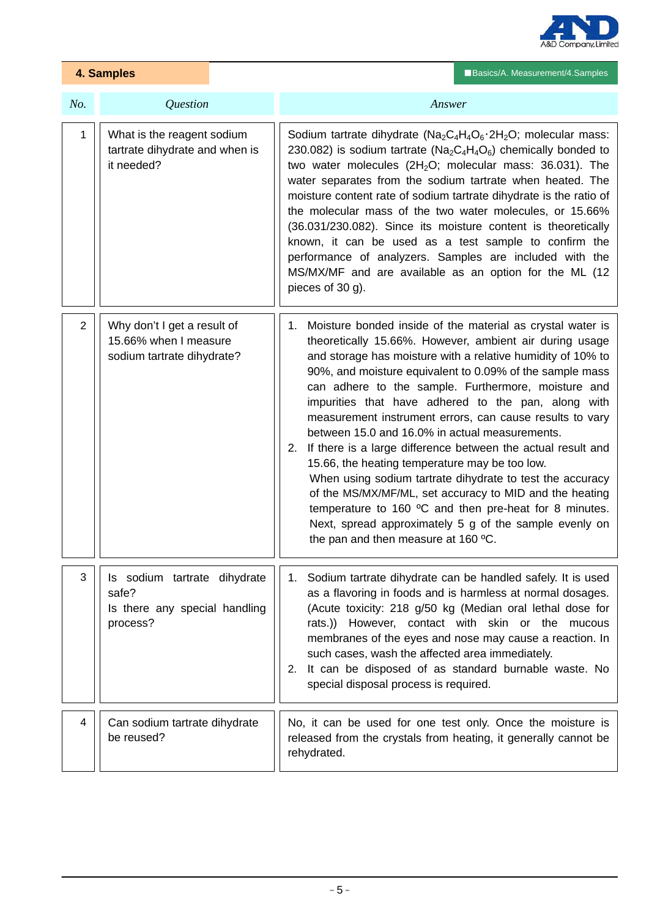

| 4. Samples     |                                                                                    | Basics/A. Measurement/4. Samples                                                                                                                                                                                                                                                                                                                                                                                                                                                                                                                                                                                                                                                                                                                                                                                                                                                        |  |
|----------------|------------------------------------------------------------------------------------|-----------------------------------------------------------------------------------------------------------------------------------------------------------------------------------------------------------------------------------------------------------------------------------------------------------------------------------------------------------------------------------------------------------------------------------------------------------------------------------------------------------------------------------------------------------------------------------------------------------------------------------------------------------------------------------------------------------------------------------------------------------------------------------------------------------------------------------------------------------------------------------------|--|
| No.            | Question                                                                           | Answer                                                                                                                                                                                                                                                                                                                                                                                                                                                                                                                                                                                                                                                                                                                                                                                                                                                                                  |  |
| 1              | What is the reagent sodium<br>tartrate dihydrate and when is<br>it needed?         | Sodium tartrate dihydrate ( $Na_2C_4H_4O_6 \cdot 2H_2O$ ; molecular mass:<br>230.082) is sodium tartrate ( $Na_2C_4H_4O_6$ ) chemically bonded to<br>two water molecules $(2H2O;$ molecular mass: 36.031). The<br>water separates from the sodium tartrate when heated. The<br>moisture content rate of sodium tartrate dihydrate is the ratio of<br>the molecular mass of the two water molecules, or 15.66%<br>(36.031/230.082). Since its moisture content is theoretically<br>known, it can be used as a test sample to confirm the<br>performance of analyzers. Samples are included with the<br>MS/MX/MF and are available as an option for the ML (12<br>pieces of 30 g).                                                                                                                                                                                                        |  |
| $\overline{2}$ | Why don't I get a result of<br>15.66% when I measure<br>sodium tartrate dihydrate? | 1. Moisture bonded inside of the material as crystal water is<br>theoretically 15.66%. However, ambient air during usage<br>and storage has moisture with a relative humidity of 10% to<br>90%, and moisture equivalent to 0.09% of the sample mass<br>can adhere to the sample. Furthermore, moisture and<br>impurities that have adhered to the pan, along with<br>measurement instrument errors, can cause results to vary<br>between 15.0 and 16.0% in actual measurements.<br>2. If there is a large difference between the actual result and<br>15.66, the heating temperature may be too low.<br>When using sodium tartrate dihydrate to test the accuracy<br>of the MS/MX/MF/ML, set accuracy to MID and the heating<br>temperature to 160 °C and then pre-heat for 8 minutes.<br>Next, spread approximately 5 g of the sample evenly on<br>the pan and then measure at 160 °C. |  |
| 3              | Is sodium tartrate dihydrate<br>safe?<br>Is there any special handling<br>process? | 1. Sodium tartrate dihydrate can be handled safely. It is used<br>as a flavoring in foods and is harmless at normal dosages.<br>(Acute toxicity: 218 g/50 kg (Median oral lethal dose for<br>rats.)) However, contact with skin or the mucous<br>membranes of the eyes and nose may cause a reaction. In<br>such cases, wash the affected area immediately.<br>2. It can be disposed of as standard burnable waste. No<br>special disposal process is required.                                                                                                                                                                                                                                                                                                                                                                                                                         |  |
| 4              | Can sodium tartrate dihydrate<br>be reused?                                        | No, it can be used for one test only. Once the moisture is<br>released from the crystals from heating, it generally cannot be<br>rehydrated.                                                                                                                                                                                                                                                                                                                                                                                                                                                                                                                                                                                                                                                                                                                                            |  |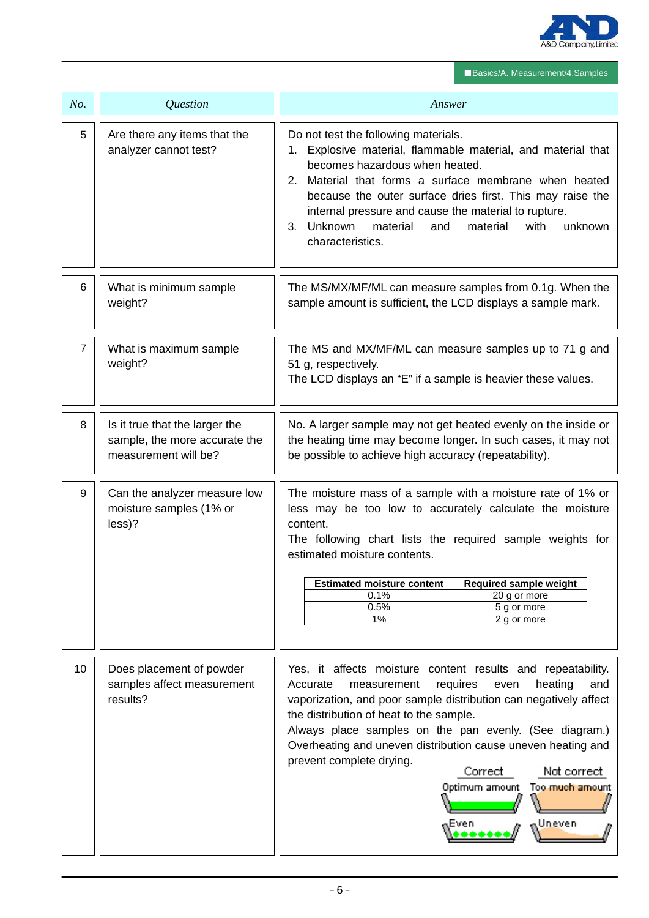

■Basics/A. Measurement/4.Samples

| No.            | Question                                                                                | Answer                                                                                                                                                                                                                                                                                                                                                                                                                                                                             |  |  |
|----------------|-----------------------------------------------------------------------------------------|------------------------------------------------------------------------------------------------------------------------------------------------------------------------------------------------------------------------------------------------------------------------------------------------------------------------------------------------------------------------------------------------------------------------------------------------------------------------------------|--|--|
| 5              | Are there any items that the<br>analyzer cannot test?                                   | Do not test the following materials.<br>1. Explosive material, flammable material, and material that<br>becomes hazardous when heated.<br>2. Material that forms a surface membrane when heated<br>because the outer surface dries first. This may raise the<br>internal pressure and cause the material to rupture.<br>3. Unknown<br>material<br>unknown<br>and<br>material<br>with<br>characteristics.                                                                           |  |  |
| 6              | What is minimum sample<br>weight?                                                       | The MS/MX/MF/ML can measure samples from 0.1g. When the<br>sample amount is sufficient, the LCD displays a sample mark.                                                                                                                                                                                                                                                                                                                                                            |  |  |
| $\overline{7}$ | What is maximum sample<br>weight?                                                       | The MS and MX/MF/ML can measure samples up to 71 g and<br>51 g, respectively.<br>The LCD displays an "E" if a sample is heavier these values.                                                                                                                                                                                                                                                                                                                                      |  |  |
| 8              | Is it true that the larger the<br>sample, the more accurate the<br>measurement will be? | No. A larger sample may not get heated evenly on the inside or<br>the heating time may become longer. In such cases, it may not<br>be possible to achieve high accuracy (repeatability).                                                                                                                                                                                                                                                                                           |  |  |
| 9              | Can the analyzer measure low<br>moisture samples (1% or<br>less)?                       | The moisture mass of a sample with a moisture rate of 1% or<br>less may be too low to accurately calculate the moisture<br>content.<br>The following chart lists the required sample weights for<br>estimated moisture contents.<br><b>Required sample weight</b><br><b>Estimated moisture content</b><br>0.1%<br>20 g or more<br>0.5%<br>5 g or more<br>1%<br>2 g or more                                                                                                         |  |  |
| 10             | Does placement of powder<br>samples affect measurement<br>results?                      | Yes, it affects moisture content results and repeatability.<br>heating<br>Accurate<br>measurement<br>requires<br>and<br>even<br>vaporization, and poor sample distribution can negatively affect<br>the distribution of heat to the sample.<br>Always place samples on the pan evenly. (See diagram.)<br>Overheating and uneven distribution cause uneven heating and<br>prevent complete drying.<br>Not correct<br>Correct<br>Too much amount<br>Optimum amount<br>Uneven<br>Even |  |  |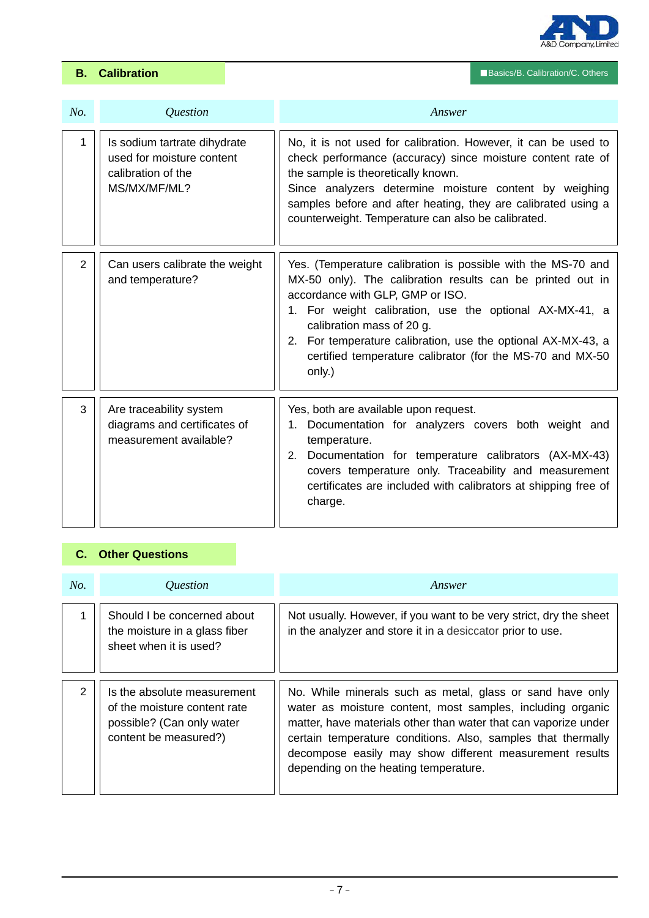

■Basics/B. Calibration **B.** Calibration **B.** Calibration **C. Others** 

| No. | <i><u><b>Ouestion</b></u></i>                                                                   | Answer                                                                                                                                                                                                                                                                                                                                                                                        |
|-----|-------------------------------------------------------------------------------------------------|-----------------------------------------------------------------------------------------------------------------------------------------------------------------------------------------------------------------------------------------------------------------------------------------------------------------------------------------------------------------------------------------------|
| 1   | Is sodium tartrate dihydrate<br>used for moisture content<br>calibration of the<br>MS/MX/MF/ML? | No, it is not used for calibration. However, it can be used to<br>check performance (accuracy) since moisture content rate of<br>the sample is theoretically known.<br>Since analyzers determine moisture content by weighing<br>samples before and after heating, they are calibrated using a<br>counterweight. Temperature can also be calibrated.                                          |
| 2   | Can users calibrate the weight<br>and temperature?                                              | Yes. (Temperature calibration is possible with the MS-70 and<br>MX-50 only). The calibration results can be printed out in<br>accordance with GLP, GMP or ISO.<br>1. For weight calibration, use the optional AX-MX-41, a<br>calibration mass of 20 g.<br>2. For temperature calibration, use the optional AX-MX-43, a<br>certified temperature calibrator (for the MS-70 and MX-50<br>only.) |
| 3   | Are traceability system<br>diagrams and certificates of<br>measurement available?               | Yes, both are available upon request.<br>1. Documentation for analyzers covers both weight and<br>temperature.<br>Documentation for temperature calibrators (AX-MX-43)<br>2.<br>covers temperature only. Traceability and measurement<br>certificates are included with calibrators at shipping free of<br>charge.                                                                            |

# **C. Other Questions**

| No.           | <i><u><b>Ouestion</b></u></i>                                                                                     | Answer                                                                                                                                                                                                                                                                                                                                                         |  |
|---------------|-------------------------------------------------------------------------------------------------------------------|----------------------------------------------------------------------------------------------------------------------------------------------------------------------------------------------------------------------------------------------------------------------------------------------------------------------------------------------------------------|--|
|               | Should I be concerned about<br>the moisture in a glass fiber<br>sheet when it is used?                            | Not usually. However, if you want to be very strict, dry the sheet<br>in the analyzer and store it in a desiccator prior to use.                                                                                                                                                                                                                               |  |
| $\mathcal{P}$ | Is the absolute measurement<br>of the moisture content rate<br>possible? (Can only water<br>content be measured?) | No. While minerals such as metal, glass or sand have only<br>water as moisture content, most samples, including organic<br>matter, have materials other than water that can vaporize under<br>certain temperature conditions. Also, samples that thermally<br>decompose easily may show different measurement results<br>depending on the heating temperature. |  |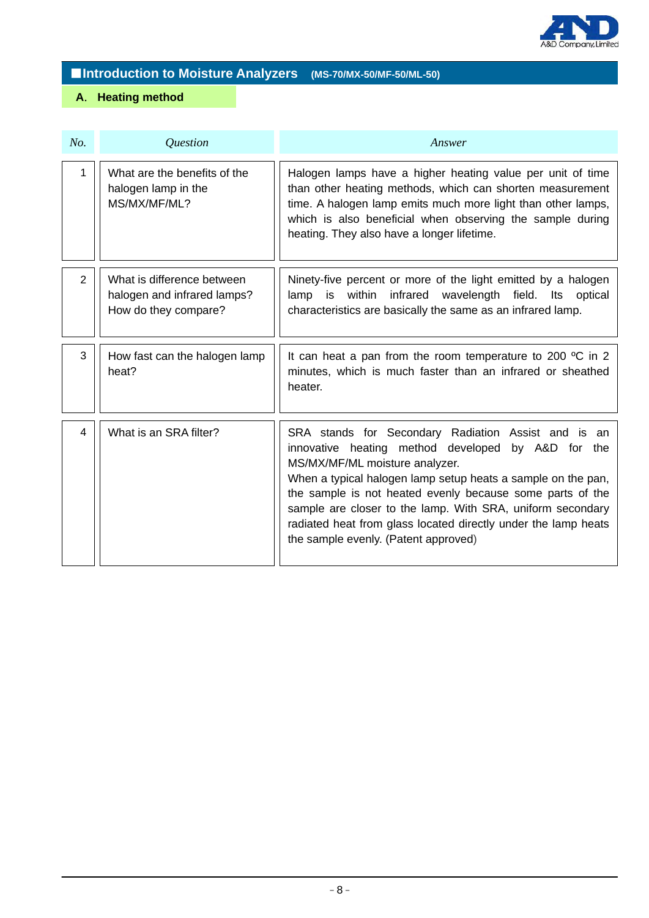

# ■**Introduction to Moisture Analyzers (MS-70/MX-50/MF-50/ML-50)**

# **A**. **Heating method**

| No. | Question                                                                          | Answer                                                                                                                                                                                                                                                                                                                                                                                                                                           |  |  |
|-----|-----------------------------------------------------------------------------------|--------------------------------------------------------------------------------------------------------------------------------------------------------------------------------------------------------------------------------------------------------------------------------------------------------------------------------------------------------------------------------------------------------------------------------------------------|--|--|
| 1   | What are the benefits of the<br>halogen lamp in the<br>MS/MX/MF/ML?               | Halogen lamps have a higher heating value per unit of time<br>than other heating methods, which can shorten measurement<br>time. A halogen lamp emits much more light than other lamps,<br>which is also beneficial when observing the sample during<br>heating. They also have a longer lifetime.                                                                                                                                               |  |  |
| 2   | What is difference between<br>halogen and infrared lamps?<br>How do they compare? | Ninety-five percent or more of the light emitted by a halogen<br>lamp is within infrared wavelength field. Its optical<br>characteristics are basically the same as an infrared lamp.                                                                                                                                                                                                                                                            |  |  |
| 3   | How fast can the halogen lamp<br>heat?                                            | It can heat a pan from the room temperature to 200 $\degree$ C in 2<br>minutes, which is much faster than an infrared or sheathed<br>heater.                                                                                                                                                                                                                                                                                                     |  |  |
| 4   | What is an SRA filter?                                                            | SRA stands for Secondary Radiation Assist and is an<br>innovative heating method developed by A&D for the<br>MS/MX/MF/ML moisture analyzer.<br>When a typical halogen lamp setup heats a sample on the pan,<br>the sample is not heated evenly because some parts of the<br>sample are closer to the lamp. With SRA, uniform secondary<br>radiated heat from glass located directly under the lamp heats<br>the sample evenly. (Patent approved) |  |  |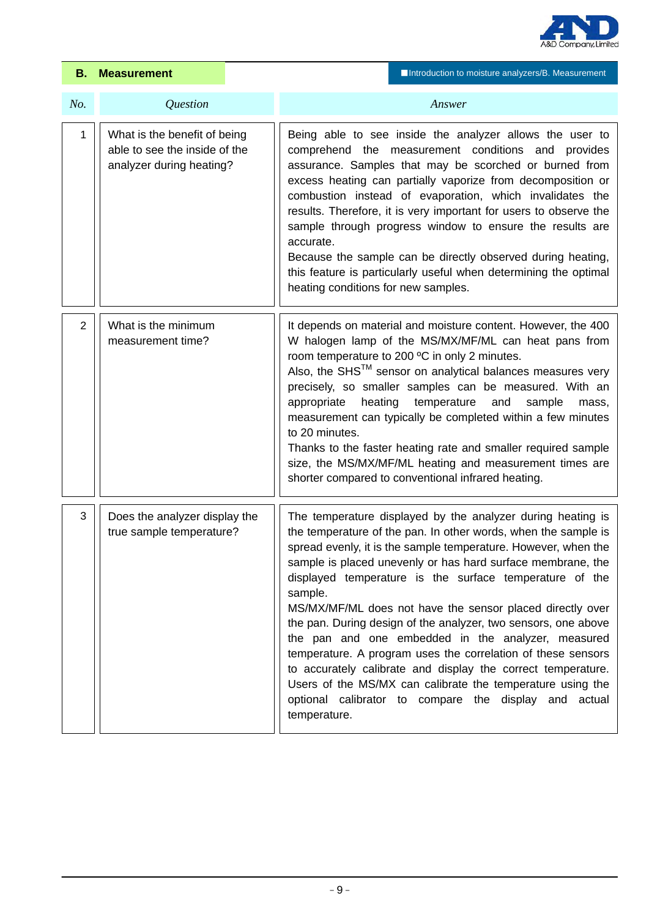

|     | <b>B.</b> Measurement                                                                     | Introduction to moisture analyzers/B. Measurement                                                                                                                                                                                                                                                                                                                                                                                                                                                                                                                                                                                                                                                                                                                                                |  |  |
|-----|-------------------------------------------------------------------------------------------|--------------------------------------------------------------------------------------------------------------------------------------------------------------------------------------------------------------------------------------------------------------------------------------------------------------------------------------------------------------------------------------------------------------------------------------------------------------------------------------------------------------------------------------------------------------------------------------------------------------------------------------------------------------------------------------------------------------------------------------------------------------------------------------------------|--|--|
| No. | Question                                                                                  | Answer                                                                                                                                                                                                                                                                                                                                                                                                                                                                                                                                                                                                                                                                                                                                                                                           |  |  |
| 1   | What is the benefit of being<br>able to see the inside of the<br>analyzer during heating? | Being able to see inside the analyzer allows the user to<br>comprehend the measurement conditions and provides<br>assurance. Samples that may be scorched or burned from<br>excess heating can partially vaporize from decomposition or<br>combustion instead of evaporation, which invalidates the<br>results. Therefore, it is very important for users to observe the<br>sample through progress window to ensure the results are<br>accurate.<br>Because the sample can be directly observed during heating,<br>this feature is particularly useful when determining the optimal<br>heating conditions for new samples.                                                                                                                                                                      |  |  |
| 2   | What is the minimum<br>measurement time?                                                  | It depends on material and moisture content. However, the 400<br>W halogen lamp of the MS/MX/MF/ML can heat pans from<br>room temperature to 200 °C in only 2 minutes.<br>Also, the SHS <sup>TM</sup> sensor on analytical balances measures very<br>precisely, so smaller samples can be measured. With an<br>heating temperature<br>appropriate<br>and<br>sample<br>mass,<br>measurement can typically be completed within a few minutes<br>to 20 minutes.<br>Thanks to the faster heating rate and smaller required sample<br>size, the MS/MX/MF/ML heating and measurement times are<br>shorter compared to conventional infrared heating.                                                                                                                                                   |  |  |
| 3   | Does the analyzer display the<br>true sample temperature?                                 | The temperature displayed by the analyzer during heating is<br>the temperature of the pan. In other words, when the sample is<br>spread evenly, it is the sample temperature. However, when the<br>sample is placed unevenly or has hard surface membrane, the<br>displayed temperature is the surface temperature of the<br>sample.<br>MS/MX/MF/ML does not have the sensor placed directly over<br>the pan. During design of the analyzer, two sensors, one above<br>the pan and one embedded in the analyzer, measured<br>temperature. A program uses the correlation of these sensors<br>to accurately calibrate and display the correct temperature.<br>Users of the MS/MX can calibrate the temperature using the<br>optional calibrator to compare the display and actual<br>temperature. |  |  |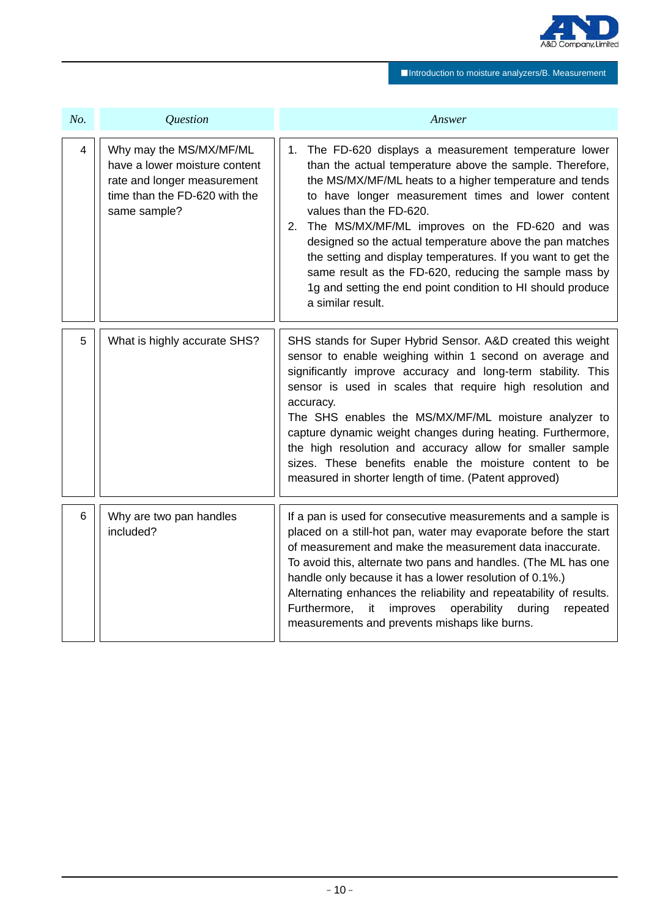

■Introduction to moisture analyzers/B. Measurement

| No.            | <i><u><b>Ouestion</b></u></i>                                                                                                            | Answer                                                                                                                                                                                                                                                                                                                                                                                                                                                                                                                                                                                           |  |
|----------------|------------------------------------------------------------------------------------------------------------------------------------------|--------------------------------------------------------------------------------------------------------------------------------------------------------------------------------------------------------------------------------------------------------------------------------------------------------------------------------------------------------------------------------------------------------------------------------------------------------------------------------------------------------------------------------------------------------------------------------------------------|--|
| $\overline{4}$ | Why may the MS/MX/MF/ML<br>have a lower moisture content<br>rate and longer measurement<br>time than the FD-620 with the<br>same sample? | 1. The FD-620 displays a measurement temperature lower<br>than the actual temperature above the sample. Therefore,<br>the MS/MX/MF/ML heats to a higher temperature and tends<br>to have longer measurement times and lower content<br>values than the FD-620.<br>The MS/MX/MF/ML improves on the FD-620 and was<br>2.<br>designed so the actual temperature above the pan matches<br>the setting and display temperatures. If you want to get the<br>same result as the FD-620, reducing the sample mass by<br>1g and setting the end point condition to HI should produce<br>a similar result. |  |
| 5              | What is highly accurate SHS?                                                                                                             | SHS stands for Super Hybrid Sensor. A&D created this weight<br>sensor to enable weighing within 1 second on average and<br>significantly improve accuracy and long-term stability. This<br>sensor is used in scales that require high resolution and<br>accuracy.<br>The SHS enables the MS/MX/MF/ML moisture analyzer to<br>capture dynamic weight changes during heating. Furthermore,<br>the high resolution and accuracy allow for smaller sample<br>sizes. These benefits enable the moisture content to be<br>measured in shorter length of time. (Patent approved)                        |  |
| 6              | Why are two pan handles<br>included?                                                                                                     | If a pan is used for consecutive measurements and a sample is<br>placed on a still-hot pan, water may evaporate before the start<br>of measurement and make the measurement data inaccurate.<br>To avoid this, alternate two pans and handles. (The ML has one<br>handle only because it has a lower resolution of 0.1%.)<br>Alternating enhances the reliability and repeatability of results.<br>Furthermore,<br>operability<br>it<br>improves<br>during<br>repeated<br>measurements and prevents mishaps like burns.                                                                          |  |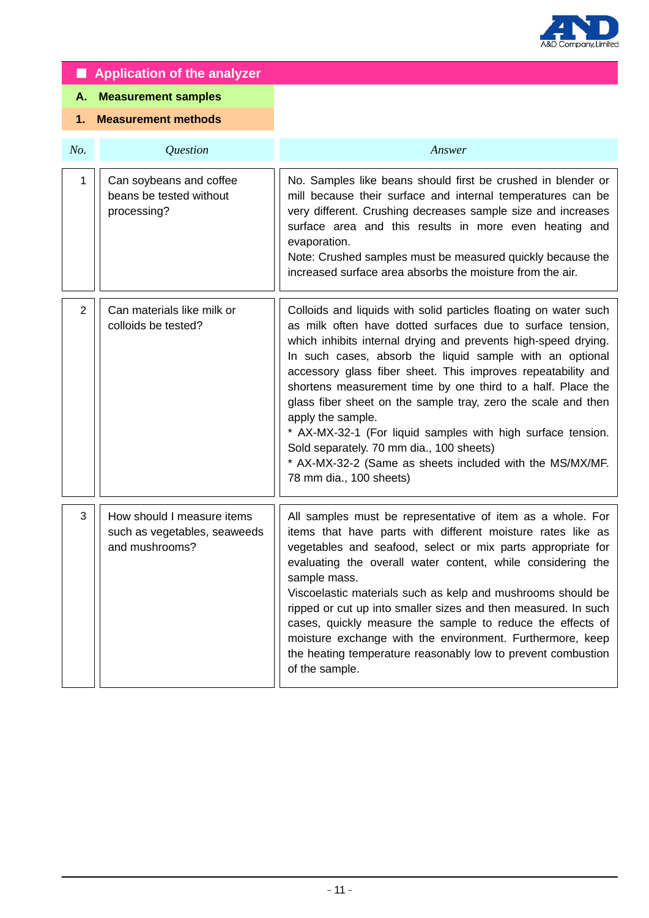

|                                  | <b>Application of the analyzer</b>                                           |                                                                                                                                                                                                                                                                                                                                                                                                                                                                                                                                                                                                                                                                                     |
|----------------------------------|------------------------------------------------------------------------------|-------------------------------------------------------------------------------------------------------------------------------------------------------------------------------------------------------------------------------------------------------------------------------------------------------------------------------------------------------------------------------------------------------------------------------------------------------------------------------------------------------------------------------------------------------------------------------------------------------------------------------------------------------------------------------------|
| А.                               | <b>Measurement samples</b>                                                   |                                                                                                                                                                                                                                                                                                                                                                                                                                                                                                                                                                                                                                                                                     |
| <b>Measurement methods</b><br>1. |                                                                              |                                                                                                                                                                                                                                                                                                                                                                                                                                                                                                                                                                                                                                                                                     |
| No.                              | Question                                                                     | Answer                                                                                                                                                                                                                                                                                                                                                                                                                                                                                                                                                                                                                                                                              |
| 1                                | Can soybeans and coffee<br>beans be tested without<br>processing?            | No. Samples like beans should first be crushed in blender or<br>mill because their surface and internal temperatures can be<br>very different. Crushing decreases sample size and increases<br>surface area and this results in more even heating and<br>evaporation.<br>Note: Crushed samples must be measured quickly because the<br>increased surface area absorbs the moisture from the air.                                                                                                                                                                                                                                                                                    |
| $\overline{2}$                   | Can materials like milk or<br>colloids be tested?                            | Colloids and liquids with solid particles floating on water such<br>as milk often have dotted surfaces due to surface tension,<br>which inhibits internal drying and prevents high-speed drying.<br>In such cases, absorb the liquid sample with an optional<br>accessory glass fiber sheet. This improves repeatability and<br>shortens measurement time by one third to a half. Place the<br>glass fiber sheet on the sample tray, zero the scale and then<br>apply the sample.<br>* AX-MX-32-1 (For liquid samples with high surface tension.<br>Sold separately. 70 mm dia., 100 sheets)<br>* AX-MX-32-2 (Same as sheets included with the MS/MX/MF.<br>78 mm dia., 100 sheets) |
| 3                                | How should I measure items<br>such as vegetables, seaweeds<br>and mushrooms? | All samples must be representative of item as a whole. For<br>items that have parts with different moisture rates like as<br>vegetables and seafood, select or mix parts appropriate for<br>evaluating the overall water content, while considering the<br>sample mass.<br>Viscoelastic materials such as kelp and mushrooms should be<br>ripped or cut up into smaller sizes and then measured. In such<br>cases, quickly measure the sample to reduce the effects of<br>moisture exchange with the environment. Furthermore, keep<br>the heating temperature reasonably low to prevent combustion<br>of the sample.                                                               |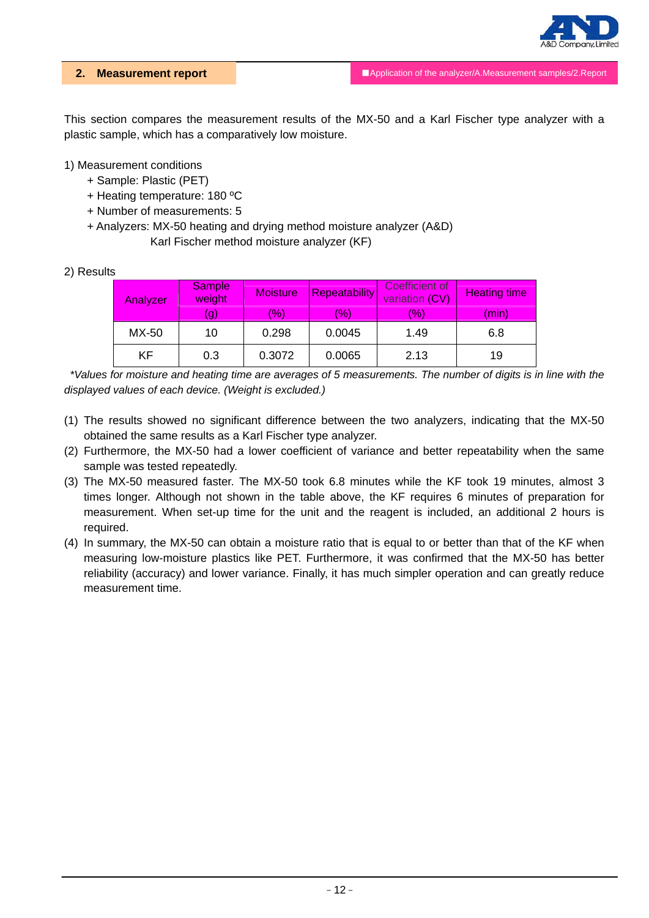

This section compares the measurement results of the MX-50 and a Karl Fischer type analyzer with a plastic sample, which has a comparatively low moisture.

### 1) Measurement conditions

- + Sample: Plastic (PET)
- + Heating temperature: 180 ºC
- + Number of measurements: 5
- + Analyzers: MX-50 heating and drying method moisture analyzer (A&D) Karl Fischer method moisture analyzer (KF)

#### 2) Results

| Analyzer | <b>Sample</b><br>weight | <b>Moisture</b>      | <b>Repeatability</b> | Coefficient of<br>variation (CV) | <b>Heating time</b> |
|----------|-------------------------|----------------------|----------------------|----------------------------------|---------------------|
|          | (g)                     | $\langle 96 \rangle$ | (%)                  | $(\% )$                          | (min)               |
| MX-50    | 10                      | 0.298                | 0.0045               | 1.49                             | 6.8                 |
| KF       | 0.3                     | 0.3072               | 0.0065               | 2.13                             | 19                  |

*\*Values for moisture and heating time are averages of 5 measurements. The number of digits is in line with the displayed values of each device. (Weight is excluded.)* 

- (1) The results showed no significant difference between the two analyzers, indicating that the MX-50 obtained the same results as a Karl Fischer type analyzer.
- (2) Furthermore, the MX-50 had a lower coefficient of variance and better repeatability when the same sample was tested repeatedly.
- (3) The MX-50 measured faster. The MX-50 took 6.8 minutes while the KF took 19 minutes, almost 3 times longer. Although not shown in the table above, the KF requires 6 minutes of preparation for measurement. When set-up time for the unit and the reagent is included, an additional 2 hours is required.
- (4) In summary, the MX-50 can obtain a moisture ratio that is equal to or better than that of the KF when measuring low-moisture plastics like PET. Furthermore, it was confirmed that the MX-50 has better reliability (accuracy) and lower variance. Finally, it has much simpler operation and can greatly reduce measurement time.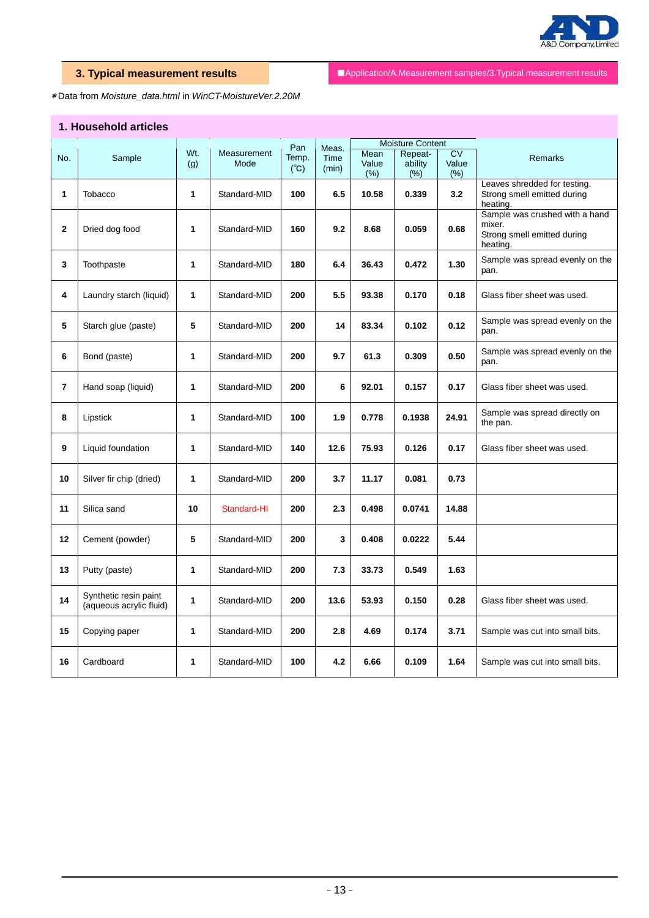

**3. Typical measurement results** ■ ■Application/A.Measurement samples/3.Typical measurement results

\*Data from *Moisture\_data.html* in *WinCT-MoistureVer.2.20M* 

# **1. Household articles**

|                |                         |     |              |               |       |       | <b>Moisture Content</b> |           |                                 |
|----------------|-------------------------|-----|--------------|---------------|-------|-------|-------------------------|-----------|---------------------------------|
|                |                         | Wt. |              | Pan           | Meas. | Mean  |                         | <b>CV</b> |                                 |
| No.            | Sample                  |     | Measurement  | Temp.         | Time  |       | Repeat-                 |           | <b>Remarks</b>                  |
|                |                         | (g) | Mode         | $(^{\circ}C)$ | (min) | Value | ability                 | Value     |                                 |
|                |                         |     |              |               |       | (% )  | (% )                    | (% )      |                                 |
|                |                         |     |              |               |       |       |                         |           | Leaves shredded for testing.    |
| 1              | Tobacco                 | 1   | Standard-MID | 100           | 6.5   | 10.58 | 0.339                   | 3.2       | Strong smell emitted during     |
|                |                         |     |              |               |       |       |                         |           | heating.                        |
|                |                         |     |              |               |       |       |                         |           | Sample was crushed with a hand  |
|                |                         |     |              |               |       |       |                         |           | mixer.                          |
| $\mathbf{2}$   | Dried dog food          | 1   | Standard-MID | 160           | 9.2   | 8.68  | 0.059                   | 0.68      | Strong smell emitted during     |
|                |                         |     |              |               |       |       |                         |           | heating.                        |
|                |                         |     |              |               |       |       |                         |           |                                 |
| 3              | Toothpaste              | 1   | Standard-MID | 180           | 6.4   | 36.43 | 0.472                   | 1.30      | Sample was spread evenly on the |
|                |                         |     |              |               |       |       |                         |           | pan.                            |
|                |                         |     |              |               |       |       |                         |           |                                 |
| 4              |                         | 1   |              | 200           | 5.5   |       |                         | 0.18      |                                 |
|                | Laundry starch (liquid) |     | Standard-MID |               |       | 93.38 | 0.170                   |           | Glass fiber sheet was used.     |
|                |                         |     |              |               |       |       |                         |           |                                 |
|                |                         |     |              |               |       |       |                         |           | Sample was spread evenly on the |
| 5              | Starch glue (paste)     | 5   | Standard-MID | 200           | 14    | 83.34 | 0.102                   | 0.12      | pan.                            |
|                |                         |     |              |               |       |       |                         |           |                                 |
|                |                         |     |              |               |       |       |                         |           | Sample was spread evenly on the |
| 6              | Bond (paste)            | 1   | Standard-MID | 200           | 9.7   | 61.3  | 0.309                   | 0.50      | pan.                            |
|                |                         |     |              |               |       |       |                         |           |                                 |
|                |                         |     |              |               |       |       |                         |           |                                 |
| $\overline{7}$ | Hand soap (liquid)      | 1   | Standard-MID | 200           | 6     | 92.01 | 0.157                   | 0.17      | Glass fiber sheet was used.     |
|                |                         |     |              |               |       |       |                         |           |                                 |
|                |                         |     |              |               |       |       |                         |           |                                 |
| 8              | Lipstick                | 1   | Standard-MID | 100           | 1.9   | 0.778 | 0.1938                  | 24.91     | Sample was spread directly on   |
|                |                         |     |              |               |       |       |                         |           | the pan.                        |
|                |                         |     |              |               |       |       |                         |           |                                 |
| 9              | Liquid foundation       | 1   | Standard-MID | 140           | 12.6  | 75.93 | 0.126                   | 0.17      | Glass fiber sheet was used.     |
|                |                         |     |              |               |       |       |                         |           |                                 |
|                |                         |     |              |               |       |       |                         |           |                                 |
| 10             | Silver fir chip (dried) | 1   | Standard-MID | 200           | 3.7   | 11.17 | 0.081                   | 0.73      |                                 |
|                |                         |     |              |               |       |       |                         |           |                                 |
|                |                         |     |              |               |       |       |                         |           |                                 |
| 11             | Silica sand             | 10  | Standard-HI  | 200           | 2.3   | 0.498 | 0.0741                  | 14.88     |                                 |
|                |                         |     |              |               |       |       |                         |           |                                 |
|                |                         |     |              |               |       |       |                         |           |                                 |
| 12             | Cement (powder)         | 5   | Standard-MID | 200           | 3     | 0.408 | 0.0222                  | 5.44      |                                 |
|                |                         |     |              |               |       |       |                         |           |                                 |
|                |                         |     |              |               |       |       |                         |           |                                 |
| 13             | Putty (paste)           | 1   | Standard-MID | 200           | 7.3   | 33.73 | 0.549                   | 1.63      |                                 |
|                |                         |     |              |               |       |       |                         |           |                                 |
|                |                         |     |              |               |       |       |                         |           |                                 |
| 14             | Synthetic resin paint   | 1   | Standard-MID | 200           | 13.6  | 53.93 | 0.150                   | 0.28      | Glass fiber sheet was used.     |
|                | (aqueous acrylic fluid) |     |              |               |       |       |                         |           |                                 |
|                |                         |     |              |               |       |       |                         |           |                                 |
| 15             | Copying paper           | 1   | Standard-MID | 200           | 2.8   | 4.69  | 0.174                   | 3.71      | Sample was cut into small bits. |
|                |                         |     |              |               |       |       |                         |           |                                 |
|                |                         |     |              |               |       |       |                         |           |                                 |
|                |                         |     |              |               |       |       |                         |           |                                 |
| 16             | Cardboard               | 1   | Standard-MID | 100           | 4.2   | 6.66  | 0.109                   | 1.64      | Sample was cut into small bits. |
|                |                         |     |              |               |       |       |                         |           |                                 |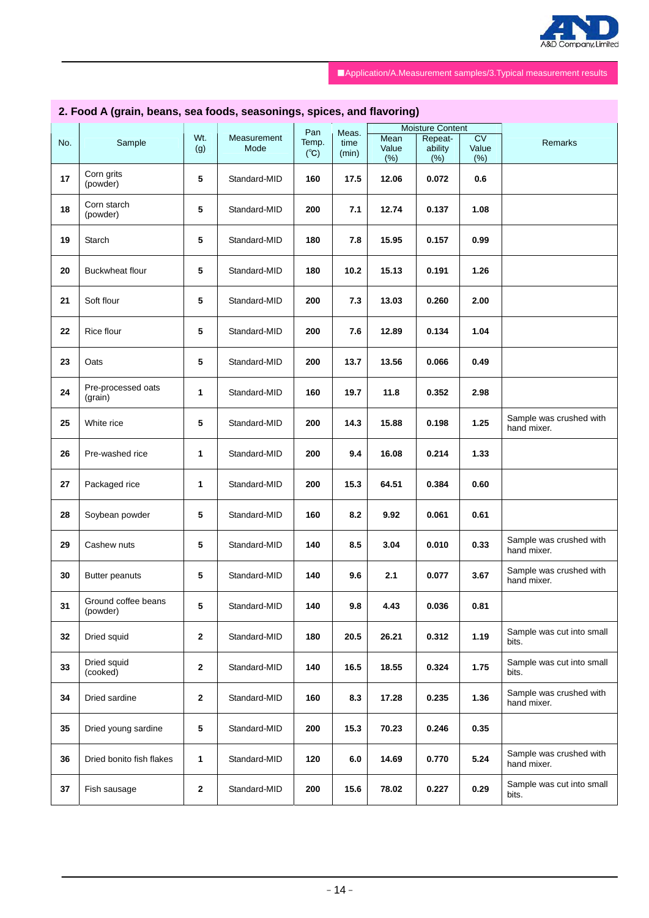

# **2. Food A (grain, beans, sea foods, seasonings, spices, and flavoring)**

|     |                          |                |              |               |       | <b>Moisture Content</b> |         |        |                           |
|-----|--------------------------|----------------|--------------|---------------|-------|-------------------------|---------|--------|---------------------------|
|     |                          | Wt.            | Measurement  | Pan           | Meas. | Mean                    | Repeat- | CV     |                           |
| No. | Sample                   | (g)            | Mode         | Temp.         | time  | Value                   | ability | Value  | Remarks                   |
|     |                          |                |              | $(^{\circ}C)$ | (min) | (%)                     | (% )    | $(\%)$ |                           |
|     |                          |                |              |               |       |                         |         |        |                           |
| 17  | Corn grits               | 5              | Standard-MID | 160           | 17.5  | 12.06                   | 0.072   | 0.6    |                           |
|     | (powder)                 |                |              |               |       |                         |         |        |                           |
|     |                          |                |              |               |       |                         |         |        |                           |
| 18  | Corn starch              | 5              | Standard-MID | 200           | 7.1   | 12.74                   | 0.137   | 1.08   |                           |
|     | (powder)                 |                |              |               |       |                         |         |        |                           |
|     |                          |                |              |               |       |                         |         |        |                           |
| 19  | Starch                   | 5              | Standard-MID | 180           |       | 15.95                   | 0.157   | 0.99   |                           |
|     |                          |                |              |               | 7.8   |                         |         |        |                           |
|     |                          |                |              |               |       |                         |         |        |                           |
| 20  | Buckwheat flour          | 5              | Standard-MID | 180           | 10.2  | 15.13                   | 0.191   | 1.26   |                           |
|     |                          |                |              |               |       |                         |         |        |                           |
|     |                          |                |              |               |       |                         |         |        |                           |
| 21  | Soft flour               | 5              | Standard-MID | 200           | 7.3   | 13.03                   | 0.260   | 2.00   |                           |
|     |                          |                |              |               |       |                         |         |        |                           |
|     |                          |                |              |               |       |                         |         |        |                           |
| 22  | Rice flour               | 5              | Standard-MID | 200           | 7.6   | 12.89                   | 0.134   | 1.04   |                           |
|     |                          |                |              |               |       |                         |         |        |                           |
|     |                          |                |              |               |       |                         |         |        |                           |
| 23  | Oats                     | 5              | Standard-MID | 200           | 13.7  | 13.56                   | 0.066   | 0.49   |                           |
|     |                          |                |              |               |       |                         |         |        |                           |
|     | Pre-processed oats       |                |              |               |       |                         |         |        |                           |
| 24  |                          | 1              | Standard-MID | 160           | 19.7  | 11.8                    | 0.352   | 2.98   |                           |
|     | (grain)                  |                |              |               |       |                         |         |        |                           |
|     |                          |                |              |               |       |                         |         |        | Sample was crushed with   |
| 25  | White rice               | 5              | Standard-MID | 200           | 14.3  | 15.88                   | 0.198   | 1.25   | hand mixer.               |
|     |                          |                |              |               |       |                         |         |        |                           |
|     |                          |                |              |               |       |                         |         |        |                           |
| 26  | Pre-washed rice          | 1              | Standard-MID | 200           | 9.4   | 16.08                   | 0.214   | 1.33   |                           |
|     |                          |                |              |               |       |                         |         |        |                           |
|     |                          |                |              |               |       |                         |         |        |                           |
| 27  | Packaged rice            | 1              | Standard-MID | 200           | 15.3  | 64.51                   | 0.384   | 0.60   |                           |
|     |                          |                |              |               |       |                         |         |        |                           |
|     |                          |                |              |               |       |                         |         |        |                           |
| 28  | Soybean powder           | 5              | Standard-MID | 160           | 8.2   | 9.92                    | 0.061   | 0.61   |                           |
|     |                          |                |              |               |       |                         |         |        |                           |
| 29  | Cashew nuts              | 5              | Standard-MID | 140           | 8.5   | 3.04                    | 0.010   | 0.33   | Sample was crushed with   |
|     |                          |                |              |               |       |                         |         |        | hand mixer.               |
|     |                          |                |              |               |       |                         |         |        |                           |
| 30  | <b>Butter peanuts</b>    | 5              | Standard-MID | 140           | 9.6   | 2.1                     | 0.077   | 3.67   | Sample was crushed with   |
|     |                          |                |              |               |       |                         |         |        | hand mixer.               |
|     |                          |                |              |               |       |                         |         |        |                           |
| 31  | Ground coffee beans      | 5 <sub>5</sub> | Standard-MID | 140           | 9.8   | 4.43                    | 0.036   | 0.81   |                           |
|     | (powder)                 |                |              |               |       |                         |         |        |                           |
|     |                          |                |              |               |       |                         |         |        |                           |
| 32  | Dried squid              | 2              | Standard-MID | 180           | 20.5  | 26.21                   | 0.312   | 1.19   | Sample was cut into small |
|     |                          |                |              |               |       |                         |         |        | bits.                     |
|     | Dried squid              |                |              |               |       |                         |         |        | Sample was cut into small |
| 33  | (cooked)                 | 2              | Standard-MID | 140           | 16.5  | 18.55                   | 0.324   | 1.75   | bits.                     |
|     |                          |                |              |               |       |                         |         |        |                           |
|     |                          |                |              |               |       |                         |         |        | Sample was crushed with   |
| 34  | Dried sardine            | 2              | Standard-MID | 160           | 8.3   | 17.28                   | 0.235   | 1.36   | hand mixer.               |
|     |                          |                |              |               |       |                         |         |        |                           |
|     |                          |                |              |               |       |                         |         |        |                           |
| 35  | Dried young sardine      | 5              | Standard-MID | 200           | 15.3  | 70.23                   | 0.246   | 0.35   |                           |
|     |                          |                |              |               |       |                         |         |        |                           |
|     |                          |                |              |               |       |                         |         |        | Sample was crushed with   |
| 36  | Dried bonito fish flakes | 1              | Standard-MID | 120           | 6.0   | 14.69                   | 0.770   | 5.24   | hand mixer.               |
|     |                          |                |              |               |       |                         |         |        |                           |
|     |                          |                |              |               |       |                         |         |        | Sample was cut into small |
| 37  | Fish sausage             | $\mathbf{2}$   | Standard-MID | 200           | 15.6  | 78.02                   | 0.227   | 0.29   | bits.                     |
|     |                          |                |              |               |       |                         |         |        |                           |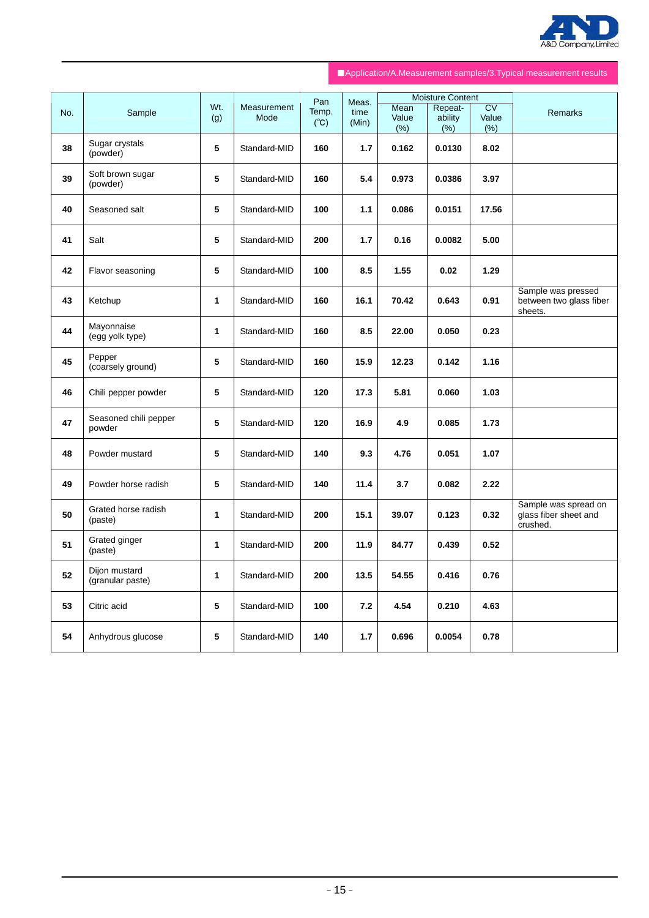

|     |                                   |              |                     | Pan                    | Meas.         |                       | <b>Moisture Content</b>    |                                         |                                                           |
|-----|-----------------------------------|--------------|---------------------|------------------------|---------------|-----------------------|----------------------------|-----------------------------------------|-----------------------------------------------------------|
| No. | Sample                            | Wt.<br>(g)   | Measurement<br>Mode | Temp.<br>$(C^{\circ})$ | time<br>(Min) | Mean<br>Value<br>(% ) | Repeat-<br>ability<br>(% ) | $\overline{\text{CV}}$<br>Value<br>(% ) | <b>Remarks</b>                                            |
| 38  | Sugar crystals<br>(powder)        | 5            | Standard-MID        | 160                    | 1.7           | 0.162                 | 0.0130                     | 8.02                                    |                                                           |
| 39  | Soft brown sugar<br>(powder)      | 5            | Standard-MID        | 160                    | 5.4           | 0.973                 | 0.0386                     | 3.97                                    |                                                           |
| 40  | Seasoned salt                     | 5            | Standard-MID        | 100                    | $1.1$         | 0.086                 | 0.0151                     | 17.56                                   |                                                           |
| 41  | Salt                              | 5            | Standard-MID        | 200                    | 1.7           | 0.16                  | 0.0082                     | 5.00                                    |                                                           |
| 42  | Flavor seasoning                  | 5            | Standard-MID        | 100                    | 8.5           | 1.55                  | 0.02                       | 1.29                                    |                                                           |
| 43  | Ketchup                           | $\mathbf{1}$ | Standard-MID        | 160                    | 16.1          | 70.42                 | 0.643                      | 0.91                                    | Sample was pressed<br>between two glass fiber<br>sheets.  |
| 44  | Mayonnaise<br>(egg yolk type)     | $\mathbf{1}$ | Standard-MID        | 160                    | 8.5           | 22.00                 | 0.050                      | 0.23                                    |                                                           |
| 45  | Pepper<br>(coarsely ground)       | 5            | Standard-MID        | 160                    | 15.9          | 12.23                 | 0.142                      | 1.16                                    |                                                           |
| 46  | Chili pepper powder               | 5            | Standard-MID        | 120                    | 17.3          | 5.81                  | 0.060                      | 1.03                                    |                                                           |
| 47  | Seasoned chili pepper<br>powder   | 5            | Standard-MID        | 120                    | 16.9          | 4.9                   | 0.085                      | 1.73                                    |                                                           |
| 48  | Powder mustard                    | 5            | Standard-MID        | 140                    | 9.3           | 4.76                  | 0.051                      | 1.07                                    |                                                           |
| 49  | Powder horse radish               | 5            | Standard-MID        | 140                    | 11.4          | 3.7                   | 0.082                      | 2.22                                    |                                                           |
| 50  | Grated horse radish<br>(paste)    | $\mathbf{1}$ | Standard-MID        | 200                    | 15.1          | 39.07                 | 0.123                      | 0.32                                    | Sample was spread on<br>glass fiber sheet and<br>crushed. |
| 51  | Grated ginger<br>(paste)          | 1            | Standard-MID        | 200                    | 11.9          | 84.77                 | 0.439                      | 0.52                                    |                                                           |
| 52  | Dijon mustard<br>(granular paste) | 1            | Standard-MID        | 200                    | 13.5          | 54.55                 | 0.416                      | 0.76                                    |                                                           |
| 53  | Citric acid                       | 5            | Standard-MID        | 100                    | 7.2           | 4.54                  | 0.210                      | 4.63                                    |                                                           |
| 54  | Anhydrous glucose                 | 5            | Standard-MID        | 140                    | 1.7           | 0.696                 | 0.0054                     | 0.78                                    |                                                           |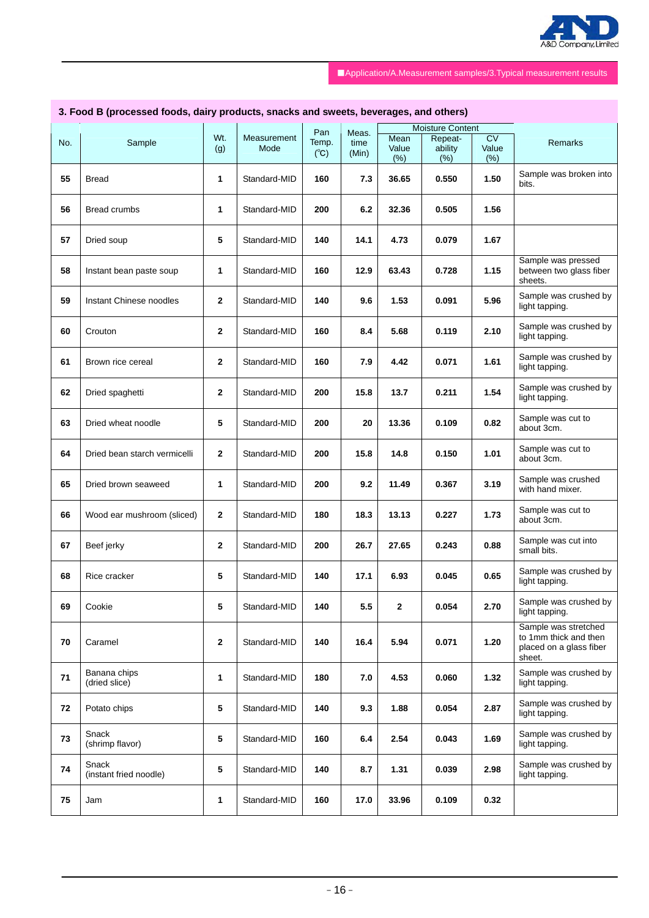

# **3. Food B (processed foods, dairy products, snacks and sweets, beverages, and others)**

|     |                              |              |              | Pan           | Meas. |       | <b>Moisture Content</b> |       |                         |
|-----|------------------------------|--------------|--------------|---------------|-------|-------|-------------------------|-------|-------------------------|
|     |                              | Wt.          | Measurement  | Temp.         |       | Mean  | Repeat-                 | CV    | Remarks                 |
| No. | Sample                       | (g)          | Mode         |               | time  | Value | ability                 | Value |                         |
|     |                              |              |              | $(^{\circ}C)$ | (Min) | (% )  | (% )                    | (% )  |                         |
|     |                              |              |              |               |       |       |                         |       |                         |
| 55  | <b>Bread</b>                 | 1            | Standard-MID | 160           | 7.3   | 36.65 | 0.550                   | 1.50  | Sample was broken into  |
|     |                              |              |              |               |       |       |                         |       | bits.                   |
|     |                              |              |              |               |       |       |                         |       |                         |
|     |                              |              |              |               |       |       |                         |       |                         |
| 56  | Bread crumbs                 | 1            | Standard-MID | 200           | 6.2   | 32.36 | 0.505                   | 1.56  |                         |
|     |                              |              |              |               |       |       |                         |       |                         |
|     |                              |              |              |               |       |       |                         |       |                         |
| 57  | Dried soup                   | 5            | Standard-MID | 140           | 14.1  | 4.73  | 0.079                   | 1.67  |                         |
|     |                              |              |              |               |       |       |                         |       |                         |
|     |                              |              |              |               |       |       |                         |       | Sample was pressed      |
| 58  | Instant bean paste soup      | 1            | Standard-MID | 160           | 12.9  | 63.43 | 0.728                   | 1.15  | between two glass fiber |
|     |                              |              |              |               |       |       |                         |       | sheets.                 |
|     |                              |              |              |               |       |       |                         |       |                         |
|     |                              |              |              |               |       |       |                         |       | Sample was crushed by   |
| 59  | Instant Chinese noodles      | $\mathbf{2}$ | Standard-MID | 140           | 9.6   | 1.53  | 0.091                   | 5.96  | light tapping.          |
|     |                              |              |              |               |       |       |                         |       |                         |
|     |                              |              |              |               |       |       |                         |       | Sample was crushed by   |
| 60  | Crouton                      | $\mathbf{2}$ | Standard-MID | 160           | 8.4   | 5.68  | 0.119                   | 2.10  |                         |
|     |                              |              |              |               |       |       |                         |       | light tapping.          |
|     |                              |              |              |               |       |       |                         |       |                         |
| 61  | Brown rice cereal            | $\mathbf{2}$ | Standard-MID | 160           | 7.9   | 4.42  | 0.071                   | 1.61  | Sample was crushed by   |
|     |                              |              |              |               |       |       |                         |       | light tapping.          |
|     |                              |              |              |               |       |       |                         |       |                         |
|     |                              |              |              |               |       |       |                         |       | Sample was crushed by   |
| 62  | Dried spaghetti              | $\mathbf{2}$ | Standard-MID | 200           | 15.8  | 13.7  | 0.211                   | 1.54  | light tapping.          |
|     |                              |              |              |               |       |       |                         |       |                         |
|     |                              |              |              |               |       |       |                         |       | Sample was cut to       |
| 63  | Dried wheat noodle           | 5            | Standard-MID | 200           | 20    | 13.36 | 0.109                   | 0.82  | about 3cm.              |
|     |                              |              |              |               |       |       |                         |       |                         |
|     |                              |              |              |               |       |       |                         |       |                         |
| 64  | Dried bean starch vermicelli | $\mathbf{2}$ | Standard-MID | 200           | 15.8  | 14.8  | 0.150                   | 1.01  | Sample was cut to       |
|     |                              |              |              |               |       |       |                         |       | about 3cm.              |
|     |                              |              |              |               |       |       |                         |       |                         |
| 65  | Dried brown seaweed          | 1            | Standard-MID | 200           | 9.2   | 11.49 | 0.367                   | 3.19  | Sample was crushed      |
|     |                              |              |              |               |       |       |                         |       | with hand mixer.        |
|     |                              |              |              |               |       |       |                         |       |                         |
|     |                              |              |              |               |       |       |                         |       | Sample was cut to       |
| 66  | Wood ear mushroom (sliced)   | $\mathbf{2}$ | Standard-MID | 180           | 18.3  | 13.13 | 0.227                   | 1.73  | about 3cm.              |
|     |                              |              |              |               |       |       |                         |       |                         |
|     |                              |              |              |               |       |       |                         |       | Sample was cut into     |
| 67  | Beef jerky                   | $\mathbf{2}$ | Standard-MID | 200           | 26.7  | 27.65 | 0.243                   | 0.88  | small bits.             |
|     |                              |              |              |               |       |       |                         |       |                         |
|     |                              |              |              |               |       |       |                         |       |                         |
| 68  | Rice cracker                 | 5            | Standard-MID | 140           | 17.1  | 6.93  | 0.045                   | 0.65  | Sample was crushed by   |
|     |                              |              |              |               |       |       |                         |       | light tapping.          |
|     |                              |              |              |               |       |       |                         |       |                         |
|     |                              |              |              |               |       |       |                         |       | Sample was crushed by   |
| 69  | Cookie                       | 5            | Standard-MID | 140           | 5.5   | 2     | 0.054                   | 2.70  | light tapping.          |
|     |                              |              |              |               |       |       |                         |       |                         |
|     |                              |              |              |               |       |       |                         |       | Sample was stretched    |
| 70  | Caramel                      | 2            | Standard-MID | 140           | 16.4  | 5.94  | 0.071                   | 1.20  | to 1mm thick and then   |
|     |                              |              |              |               |       |       |                         |       | placed on a glass fiber |
|     |                              |              |              |               |       |       |                         |       | sheet.                  |
|     | Banana chips                 |              |              |               |       |       |                         |       | Sample was crushed by   |
| 71  | (dried slice)                | 1            | Standard-MID | 180           | 7.0   | 4.53  | 0.060                   | 1.32  |                         |
|     |                              |              |              |               |       |       |                         |       | light tapping.          |
|     |                              |              |              |               |       |       |                         |       |                         |
| 72  | Potato chips                 | 5            | Standard-MID | 140           | 9.3   | 1.88  | 0.054                   | 2.87  | Sample was crushed by   |
|     |                              |              |              |               |       |       |                         |       | light tapping.          |
|     |                              |              |              |               |       |       |                         |       |                         |
|     | Snack                        |              |              |               |       |       |                         |       | Sample was crushed by   |
| 73  | (shrimp flavor)              | 5            | Standard-MID | 160           | 6.4   | 2.54  | 0.043                   | 1.69  | light tapping.          |
|     |                              |              |              |               |       |       |                         |       |                         |
|     | Snack                        |              |              |               |       |       |                         |       | Sample was crushed by   |
| 74  | (instant fried noodle)       | 5            | Standard-MID | 140           | 8.7   | 1.31  | 0.039                   | 2.98  |                         |
|     |                              |              |              |               |       |       |                         |       | light tapping.          |
|     |                              |              |              |               |       |       |                         |       |                         |
| 75  | Jam                          | 1            | Standard-MID | 160           | 17.0  | 33.96 | 0.109                   | 0.32  |                         |
|     |                              |              |              |               |       |       |                         |       |                         |
|     |                              |              |              |               |       |       |                         |       |                         |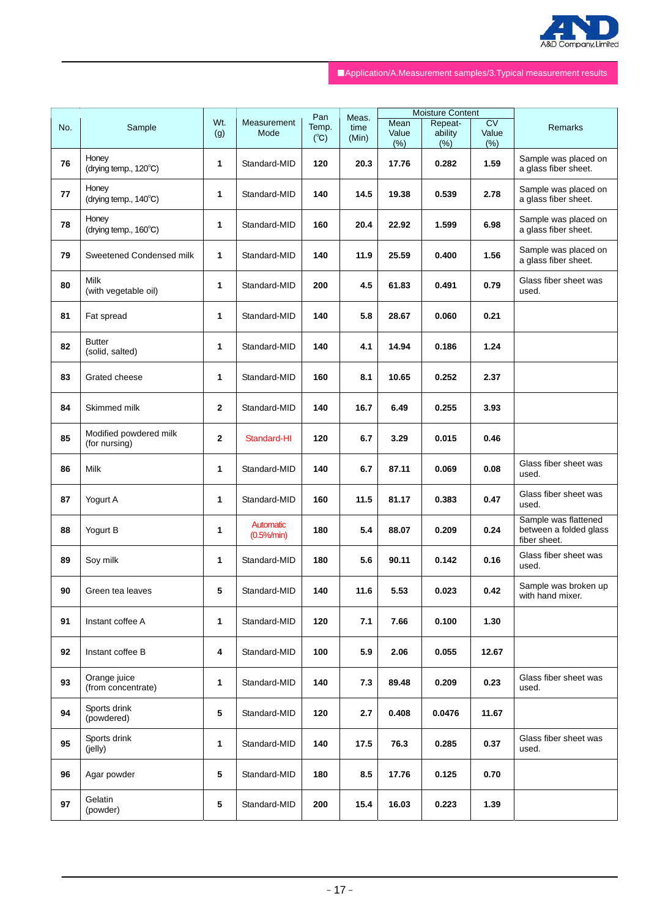

|     |                                          |                 |                                     | Pan                    |                        |                      | <b>Moisture Content</b>    |                              |                                                                |
|-----|------------------------------------------|-----------------|-------------------------------------|------------------------|------------------------|----------------------|----------------------------|------------------------------|----------------------------------------------------------------|
| No. | Sample                                   | Wt.<br>(g)      | Measurement<br>Mode                 | Temp.<br>$(^{\circ}C)$ | Meas.<br>time<br>(Min) | Mean<br>Value<br>(%) | Repeat-<br>ability<br>(% ) | <b>CV</b><br>Value<br>$(\%)$ | Remarks                                                        |
| 76  | Honey<br>(drying temp., 120°C)           | 1               | Standard-MID                        | 120                    | 20.3                   | 17.76                | 0.282                      | 1.59                         | Sample was placed on<br>a glass fiber sheet.                   |
| 77  | Honey<br>(drying temp., $140^{\circ}$ C) | 1               | Standard-MID                        | 140                    | 14.5                   | 19.38                | 0.539                      | 2.78                         | Sample was placed on<br>a glass fiber sheet.                   |
| 78  | Honey<br>(drying temp., 160°C)           | 1               | Standard-MID                        | 160                    | 20.4                   | 22.92                | 1.599                      | 6.98                         | Sample was placed on<br>a glass fiber sheet.                   |
| 79  | Sweetened Condensed milk                 | 1               | Standard-MID                        | 140                    | 11.9                   | 25.59                | 0.400                      | 1.56                         | Sample was placed on<br>a glass fiber sheet.                   |
| 80  | <b>Milk</b><br>(with vegetable oil)      | 1               | Standard-MID                        | 200                    | 4.5                    | 61.83                | 0.491                      | 0.79                         | Glass fiber sheet was<br>used.                                 |
| 81  | Fat spread                               | 1               | Standard-MID                        | 140                    | 5.8                    | 28.67                | 0.060                      | 0.21                         |                                                                |
| 82  | <b>Butter</b><br>(solid, salted)         | 1               | Standard-MID                        | 140                    | 4.1                    | 14.94                | 0.186                      | 1.24                         |                                                                |
| 83  | Grated cheese                            | 1               | Standard-MID                        | 160                    | 8.1                    | 10.65                | 0.252                      | 2.37                         |                                                                |
| 84  | Skimmed milk                             | $\mathbf{2}$    | Standard-MID                        | 140                    | 16.7                   | 6.49                 | 0.255                      | 3.93                         |                                                                |
| 85  | Modified powdered milk<br>(for nursing)  | $\mathbf{2}$    | Standard-HI                         | 120                    | 6.7                    | 3.29                 | 0.015                      | 0.46                         |                                                                |
| 86  | Milk                                     | 1               | Standard-MID                        | 140                    | 6.7                    | 87.11                | 0.069                      | 0.08                         | Glass fiber sheet was<br>used.                                 |
| 87  | Yogurt A                                 | 1               | Standard-MID                        | 160                    | 11.5                   | 81.17                | 0.383                      | 0.47                         | Glass fiber sheet was<br>used.                                 |
| 88  | Yogurt B                                 | 1               | Automatic<br>(0.5% <sub>m</sub> in) | 180                    | 5.4                    | 88.07                | 0.209                      | 0.24                         | Sample was flattened<br>between a folded glass<br>fiber sheet. |
| 89  | Soy milk                                 | 1               | Standard-MID                        | 180                    | 5.6                    | 90.11                | 0.142                      | 0.16                         | Glass fiber sheet was<br>used.                                 |
| 90  | Green tea leaves                         | 5               | Standard-MID                        | 140                    | 11.6                   | 5.53                 | 0.023                      | 0.42                         | Sample was broken up<br>with hand mixer.                       |
| 91  | Instant coffee A                         | 1               | Standard-MID                        | 120                    | 7.1                    | 7.66                 | 0.100                      | 1.30                         |                                                                |
| 92  | Instant coffee B                         | 4               | Standard-MID                        | 100                    | 5.9                    | 2.06                 | 0.055                      | 12.67                        |                                                                |
| 93  | Orange juice<br>(from concentrate)       | 1               | Standard-MID                        | 140                    | 7.3                    | 89.48                | 0.209                      | 0.23                         | Glass fiber sheet was<br>used.                                 |
| 94  | Sports drink<br>(powdered)               | 5               | Standard-MID                        | 120                    | 2.7                    | 0.408                | 0.0476                     | 11.67                        |                                                                |
| 95  | Sports drink<br>(jelly)                  | 1               | Standard-MID                        | 140                    | 17.5                   | 76.3                 | 0.285                      | 0.37                         | Glass fiber sheet was<br>used.                                 |
| 96  | Agar powder                              | $5\phantom{.0}$ | Standard-MID                        | 180                    | 8.5                    | 17.76                | 0.125                      | 0.70                         |                                                                |
| 97  | Gelatin<br>(powder)                      | 5               | Standard-MID                        | 200                    | 15.4                   | 16.03                | 0.223                      | 1.39                         |                                                                |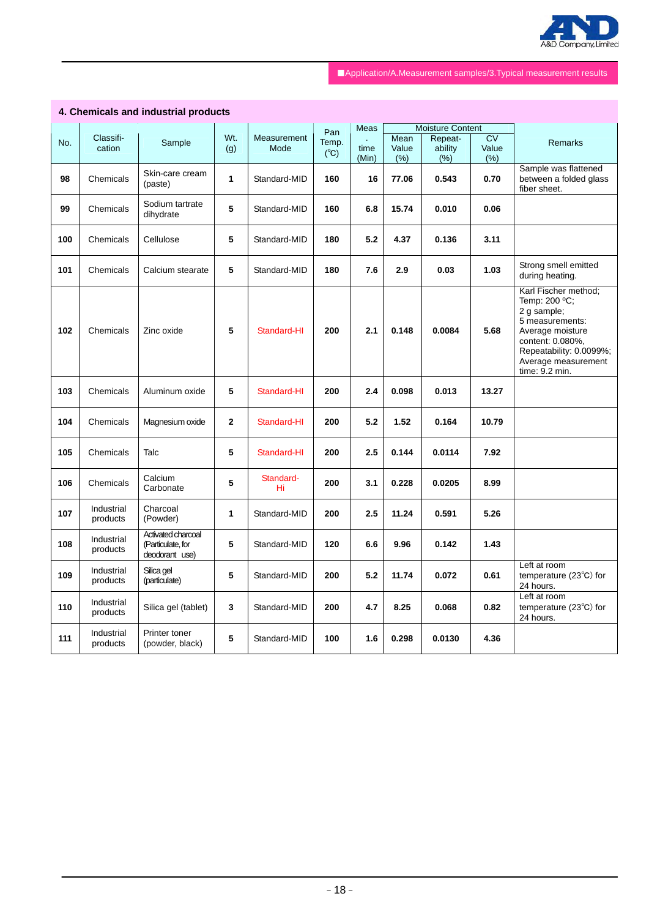

# **4. Chemicals and industrial products**

|     |                        |                                                           |              |                     | Pan                    | <b>Meas</b> |               | <b>Moisture Content</b> |                          |                                                                                                                                                                                     |
|-----|------------------------|-----------------------------------------------------------|--------------|---------------------|------------------------|-------------|---------------|-------------------------|--------------------------|-------------------------------------------------------------------------------------------------------------------------------------------------------------------------------------|
| No. | Classifi-<br>cation    | Sample                                                    | Wt.<br>(g)   | Measurement<br>Mode | Temp.<br>$(^{\circ}C)$ | time        | Mean<br>Value | Repeat-<br>ability      | $\overline{CV}$<br>Value | Remarks                                                                                                                                                                             |
|     |                        |                                                           |              |                     |                        | (Min)       | (% )          | $(\% )$                 | (%)                      |                                                                                                                                                                                     |
| 98  | Chemicals              | Skin-care cream<br>(paste)                                | $\mathbf{1}$ | Standard-MID        | 160                    | 16          | 77.06         | 0.543                   | 0.70                     | Sample was flattened<br>between a folded glass<br>fiber sheet.                                                                                                                      |
| 99  | Chemicals              | Sodium tartrate<br>dihydrate                              | 5            | Standard-MID        | 160                    | 6.8         | 15.74         | 0.010                   | 0.06                     |                                                                                                                                                                                     |
| 100 | Chemicals              | Cellulose                                                 | 5            | Standard-MID        | 180                    | 5.2         | 4.37          | 0.136                   | 3.11                     |                                                                                                                                                                                     |
| 101 | Chemicals              | Calcium stearate                                          | 5            | Standard-MID        | 180                    | 7.6         | 2.9           | 0.03                    | 1.03                     | Strong smell emitted<br>during heating.                                                                                                                                             |
| 102 | Chemicals              | Zinc oxide                                                | 5            | Standard-HI         | 200                    | 2.1         | 0.148         | 0.0084                  | 5.68                     | Karl Fischer method;<br>Temp: 200 °C;<br>2 g sample;<br>5 measurements:<br>Average moisture<br>content: 0.080%,<br>Repeatability: 0.0099%;<br>Average measurement<br>time: 9.2 min. |
| 103 | Chemicals              | Aluminum oxide                                            | 5            | Standard-HI         | 200                    | 2.4         | 0.098         | 0.013                   | 13.27                    |                                                                                                                                                                                     |
| 104 | Chemicals              | Magnesium oxide                                           | $\mathbf{2}$ | Standard-HI         | 200                    | 5.2         | 1.52          | 0.164                   | 10.79                    |                                                                                                                                                                                     |
| 105 | Chemicals              | Talc                                                      | 5            | Standard-HI         | 200                    | 2.5         | 0.144         | 0.0114                  | 7.92                     |                                                                                                                                                                                     |
| 106 | Chemicals              | Calcium<br>Carbonate                                      | 5            | Standard-<br>Hi     | 200                    | 3.1         | 0.228         | 0.0205                  | 8.99                     |                                                                                                                                                                                     |
| 107 | Industrial<br>products | Charcoal<br>(Powder)                                      | 1            | Standard-MID        | 200                    | 2.5         | 11.24         | 0.591                   | 5.26                     |                                                                                                                                                                                     |
| 108 | Industrial<br>products | Activated charcoal<br>(Particulate, for<br>deodorant use) | 5            | Standard-MID        | 120                    | 6.6         | 9.96          | 0.142                   | 1.43                     |                                                                                                                                                                                     |
| 109 | Industrial<br>products | Silica gel<br>(particulate)                               | 5            | Standard-MID        | 200                    | 5.2         | 11.74         | 0.072                   | 0.61                     | Left at room<br>temperature (23°C) for<br>24 hours.                                                                                                                                 |
| 110 | Industrial<br>products | Silica gel (tablet)                                       | 3            | Standard-MID        | 200                    | 4.7         | 8.25          | 0.068                   | 0.82                     | Left at room<br>temperature $(23^{\circ}C)$ for<br>24 hours.                                                                                                                        |
| 111 | Industrial<br>products | Printer toner<br>(powder, black)                          | 5            | Standard-MID        | 100                    | 1.6         | 0.298         | 0.0130                  | 4.36                     |                                                                                                                                                                                     |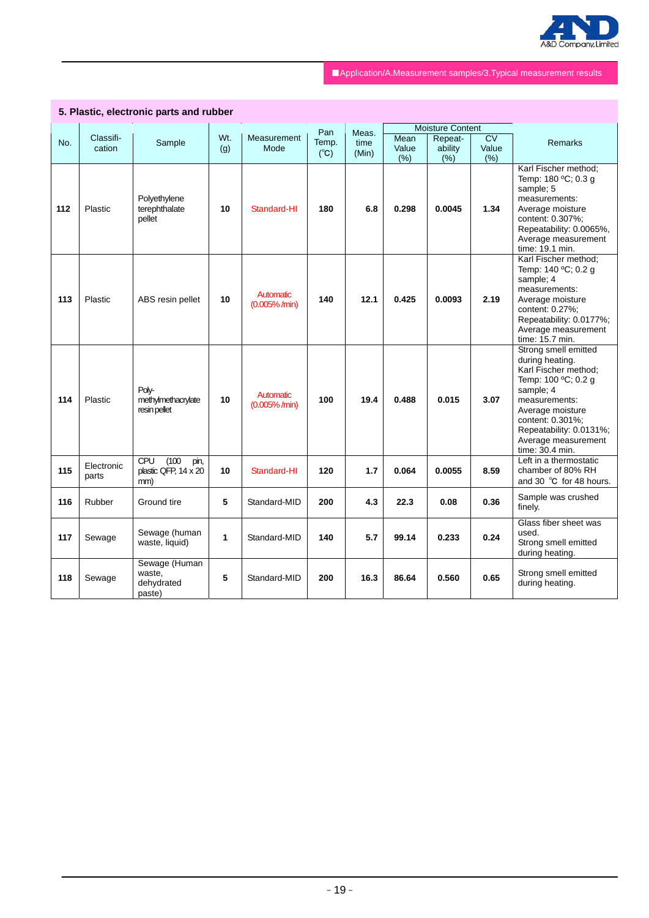

|     |                     | 5. Plastic, electronic parts and rubber             |     |                                |                        |               |               |                                    |               |                                                                                                                                                                                                                                   |
|-----|---------------------|-----------------------------------------------------|-----|--------------------------------|------------------------|---------------|---------------|------------------------------------|---------------|-----------------------------------------------------------------------------------------------------------------------------------------------------------------------------------------------------------------------------------|
|     | Classifi-           |                                                     | Wt. | <b>Measurement</b>             | Pan                    | Meas.         | Mean          | <b>Moisture Content</b><br>Repeat- | CV            |                                                                                                                                                                                                                                   |
| No. | cation              | Sample                                              | (g) | Mode                           | Temp.<br>$(^{\circ}C)$ | time<br>(Min) | Value<br>(% ) | ability<br>(% )                    | Value<br>(% ) | <b>Remarks</b>                                                                                                                                                                                                                    |
| 112 | Plastic             | Polyethylene<br>terephthalate<br>pellet             | 10  | Standard-HI                    | 180                    | 6.8           | 0.298         | 0.0045                             | 1.34          | Karl Fischer method;<br>Temp: 180 °C; 0.3 g<br>sample; 5<br>measurements:<br>Average moisture<br>content: 0.307%;<br>Repeatability: 0.0065%,<br>Average measurement<br>time: 19.1 min.                                            |
| 113 | Plastic             | ABS resin pellet                                    | 10  | Automatic<br>$(0.005\% / min)$ | 140                    | 12.1          | 0.425         | 0.0093                             | 2.19          | Karl Fischer method;<br>Temp: 140 °C; 0.2 g<br>sample; 4<br>measurements:<br>Average moisture<br>content: 0.27%:<br>Repeatability: 0.0177%;<br>Average measurement<br>time: 15.7 min.                                             |
| 114 | Plastic             | Polv-<br>methylmethacrylate<br>resin pellet         | 10  | Automatic<br>$(0.005\% / min)$ | 100                    | 19.4          | 0.488         | 0.015                              | 3.07          | Strong smell emitted<br>during heating.<br>Karl Fischer method;<br>Temp: 100 °C; 0.2 g<br>sample; 4<br>measurements:<br>Average moisture<br>content: 0.301%;<br>Repeatability: 0.0131%;<br>Average measurement<br>time: 30.4 min. |
| 115 | Electronic<br>parts | CPU<br>(100)<br>pin,<br>plastic QFP, 14 x 20<br>mm) | 10  | Standard-HI                    | 120                    | 1.7           | 0.064         | 0.0055                             | 8.59          | Left in a thermostatic<br>chamber of 80% RH<br>and 30 °C for 48 hours.                                                                                                                                                            |
| 116 | Rubber              | Ground tire                                         | 5   | Standard-MID                   | 200                    | 4.3           | 22.3          | 0.08                               | 0.36          | Sample was crushed<br>finely.                                                                                                                                                                                                     |
| 117 | Sewage              | Sewage (human<br>waste, liquid)                     | 1   | Standard-MID                   | 140                    | 5.7           | 99.14         | 0.233                              | 0.24          | Glass fiber sheet was<br>used.<br>Strong smell emitted<br>during heating.                                                                                                                                                         |
| 118 | Sewage              | Sewage (Human<br>waste,<br>dehydrated<br>paste)     | 5   | Standard-MID                   | 200                    | 16.3          | 86.64         | 0.560                              | 0.65          | Strong smell emitted<br>during heating.                                                                                                                                                                                           |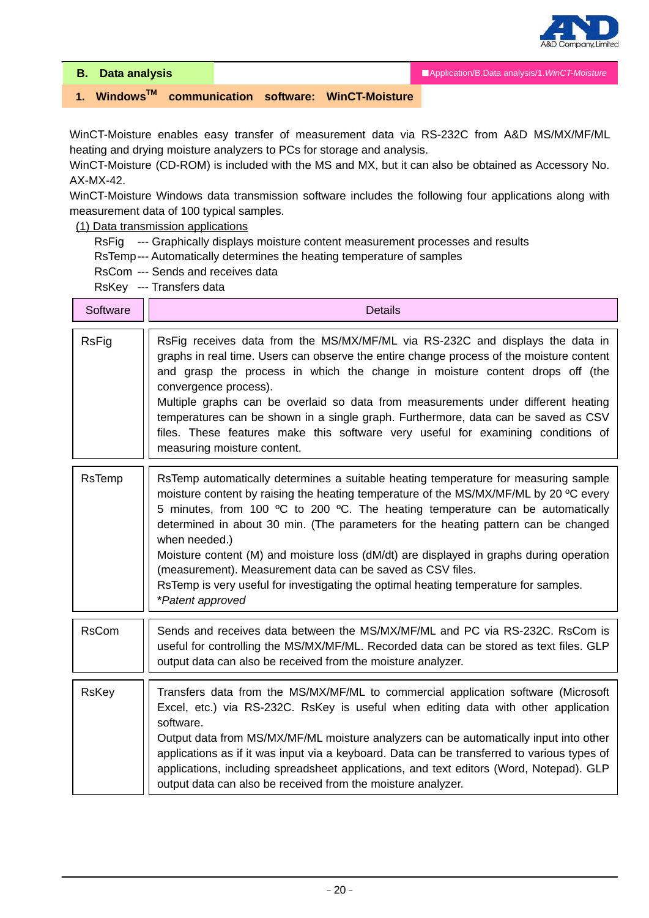

**B. Data analysis** 

■Application/B.Data analysis/1.*WinCT-Moisture*

# **1. WindowsTM communication software: WinCT-Moisture**

WinCT-Moisture enables easy transfer of measurement data via RS-232C from A&D MS/MX/MF/ML heating and drying moisture analyzers to PCs for storage and analysis.

WinCT-Moisture (CD-ROM) is included with the MS and MX, but it can also be obtained as Accessory No. AX-MX-42.

WinCT-Moisture Windows data transmission software includes the following four applications along with measurement data of 100 typical samples.

(1) Data transmission applications

- RsFig --- Graphically displays moisture content measurement processes and results
- RsTemp --- Automatically determines the heating temperature of samples
- RsCom --- Sends and receives data

RsKey --- Transfers data

| Software     | <b>Details</b>                                                                                                                                                                                                                                                                                                                                                                                                                                                                                                                                                                                                                             |
|--------------|--------------------------------------------------------------------------------------------------------------------------------------------------------------------------------------------------------------------------------------------------------------------------------------------------------------------------------------------------------------------------------------------------------------------------------------------------------------------------------------------------------------------------------------------------------------------------------------------------------------------------------------------|
| <b>RsFig</b> | RsFig receives data from the MS/MX/MF/ML via RS-232C and displays the data in<br>graphs in real time. Users can observe the entire change process of the moisture content<br>and grasp the process in which the change in moisture content drops off (the<br>convergence process).<br>Multiple graphs can be overlaid so data from measurements under different heating<br>temperatures can be shown in a single graph. Furthermore, data can be saved as CSV<br>files. These features make this software very useful for examining conditions of<br>measuring moisture content.                                                           |
| RsTemp       | RsTemp automatically determines a suitable heating temperature for measuring sample<br>moisture content by raising the heating temperature of the MS/MX/MF/ML by 20 °C every<br>5 minutes, from 100 °C to 200 °C. The heating temperature can be automatically<br>determined in about 30 min. (The parameters for the heating pattern can be changed<br>when needed.)<br>Moisture content (M) and moisture loss (dM/dt) are displayed in graphs during operation<br>(measurement). Measurement data can be saved as CSV files.<br>RsTemp is very useful for investigating the optimal heating temperature for samples.<br>*Patent approved |
| <b>RsCom</b> | Sends and receives data between the MS/MX/MF/ML and PC via RS-232C. RsCom is<br>useful for controlling the MS/MX/MF/ML. Recorded data can be stored as text files. GLP<br>output data can also be received from the moisture analyzer.                                                                                                                                                                                                                                                                                                                                                                                                     |
| <b>RsKey</b> | Transfers data from the MS/MX/MF/ML to commercial application software (Microsoft<br>Excel, etc.) via RS-232C. RsKey is useful when editing data with other application<br>software.<br>Output data from MS/MX/MF/ML moisture analyzers can be automatically input into other<br>applications as if it was input via a keyboard. Data can be transferred to various types of<br>applications, including spreadsheet applications, and text editors (Word, Notepad). GLP<br>output data can also be received from the moisture analyzer.                                                                                                    |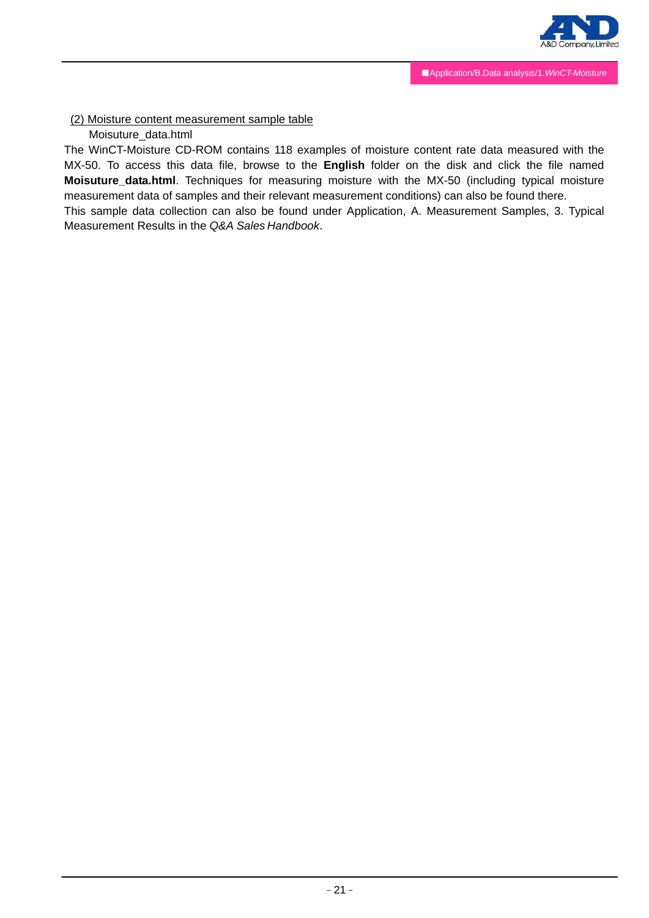

## (2) Moisture content measurement sample table

# Moisuture\_data.html

The WinCT-Moisture CD-ROM contains 118 examples of moisture content rate data measured with the MX-50. To access this data file, browse to the **English** folder on the disk and click the file named **Moisuture\_data.html**. Techniques for measuring moisture with the MX-50 (including typical moisture measurement data of samples and their relevant measurement conditions) can also be found there.

This sample data collection can also be found under Application, A. Measurement Samples, 3. Typical Measurement Results in the *Q&A Sales Handbook*.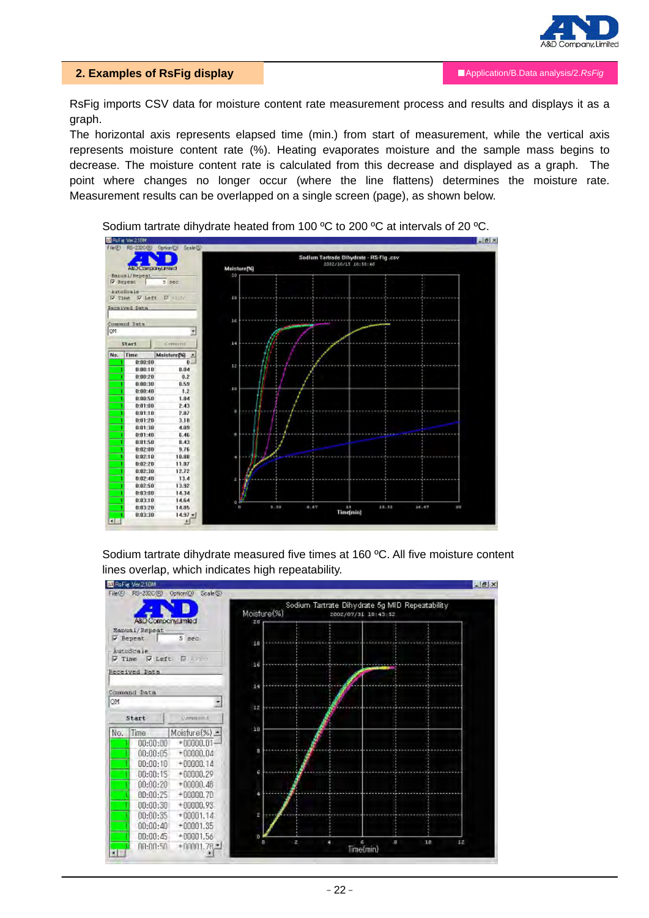

#### **2. Examples of RsFig display**

RsFig imports CSV data for moisture content rate measurement process and results and displays it as a graph.

The horizontal axis represents elapsed time (min.) from start of measurement, while the vertical axis represents moisture content rate (%). Heating evaporates moisture and the sample mass begins to decrease. The moisture content rate is calculated from this decrease and displayed as a graph. The point where changes no longer occur (where the line flattens) determines the moisture rate. Measurement results can be overlapped on a single screen (page), as shown below.



Sodium tartrate dihydrate heated from 100 ºC to 200 ºC at intervals of 20 ºC.

Sodium tartrate dihydrate measured five times at 160 ºC. All five moisture content lines overlap, which indicates high repeatability.

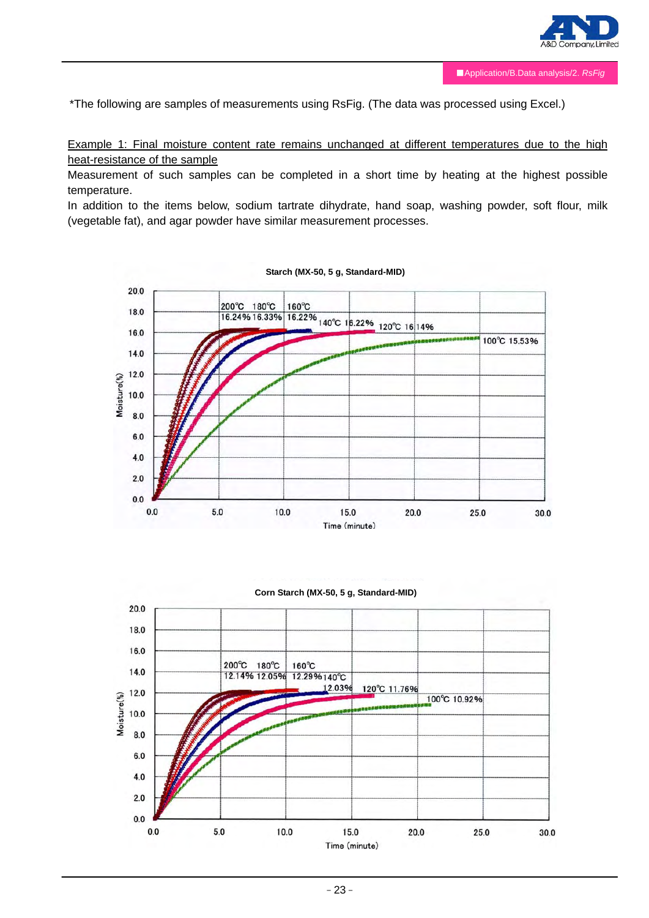

\*The following are samples of measurements using RsFig. (The data was processed using Excel.)

Example 1: Final moisture content rate remains unchanged at different temperatures due to the high heat-resistance of the sample

Measurement of such samples can be completed in a short time by heating at the highest possible temperature.

In addition to the items below, sodium tartrate dihydrate, hand soap, washing powder, soft flour, milk (vegetable fat), and agar powder have similar measurement processes.



**Starch (MX-50, 5 g, Standard-MID)**



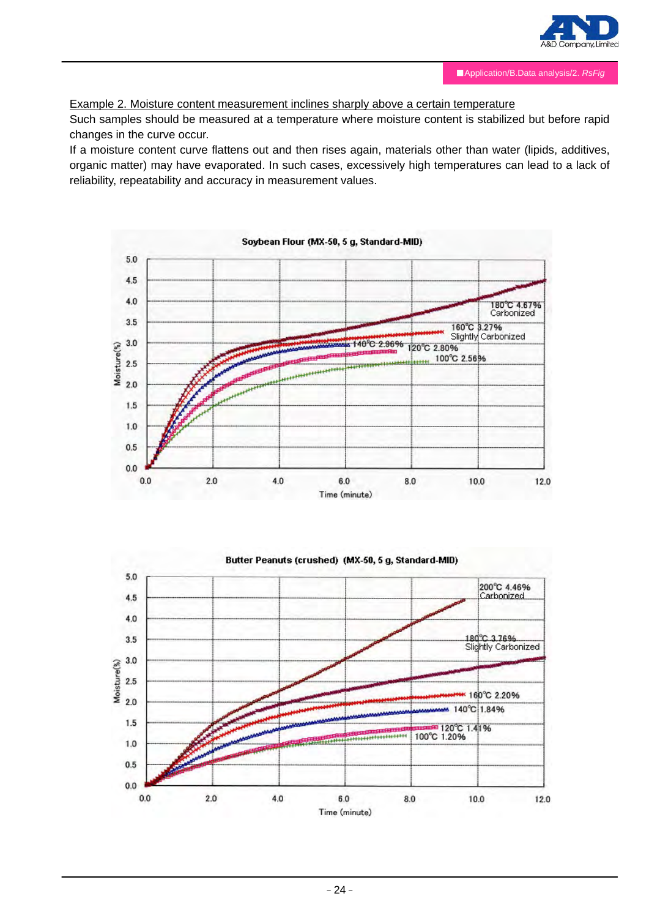

## Example 2. Moisture content measurement inclines sharply above a certain temperature

Such samples should be measured at a temperature where moisture content is stabilized but before rapid changes in the curve occur.

If a moisture content curve flattens out and then rises again, materials other than water (lipids, additives, organic matter) may have evaporated. In such cases, excessively high temperatures can lead to a lack of reliability, repeatability and accuracy in measurement values.





#### Soybean Flour (MX-50, 5 g, Standard-MID)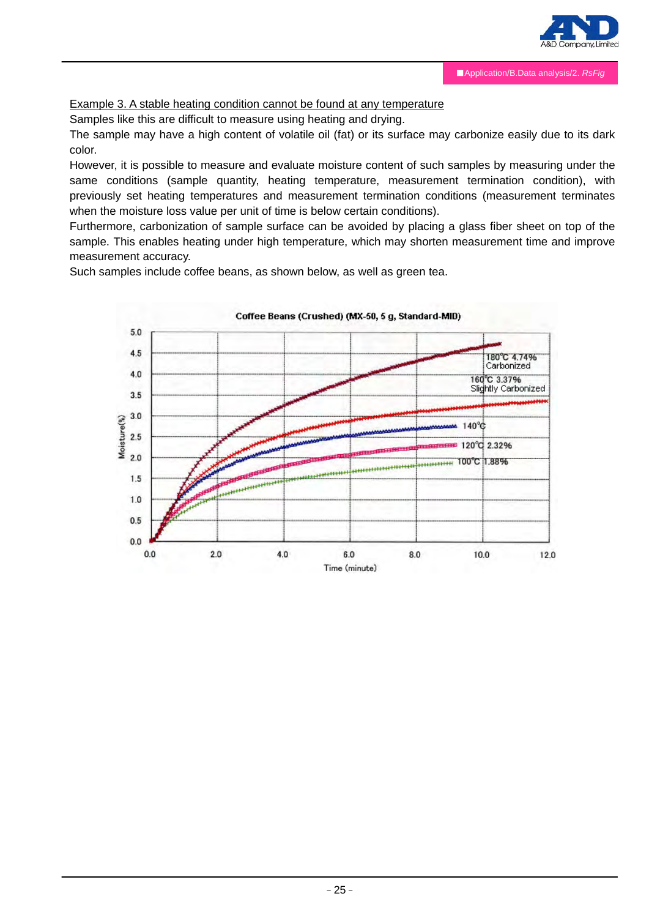

# Example 3. A stable heating condition cannot be found at any temperature

Samples like this are difficult to measure using heating and drying.

The sample may have a high content of volatile oil (fat) or its surface may carbonize easily due to its dark color.

However, it is possible to measure and evaluate moisture content of such samples by measuring under the same conditions (sample quantity, heating temperature, measurement termination condition), with previously set heating temperatures and measurement termination conditions (measurement terminates when the moisture loss value per unit of time is below certain conditions).

Furthermore, carbonization of sample surface can be avoided by placing a glass fiber sheet on top of the sample. This enables heating under high temperature, which may shorten measurement time and improve measurement accuracy.

Such samples include coffee beans, as shown below, as well as green tea.

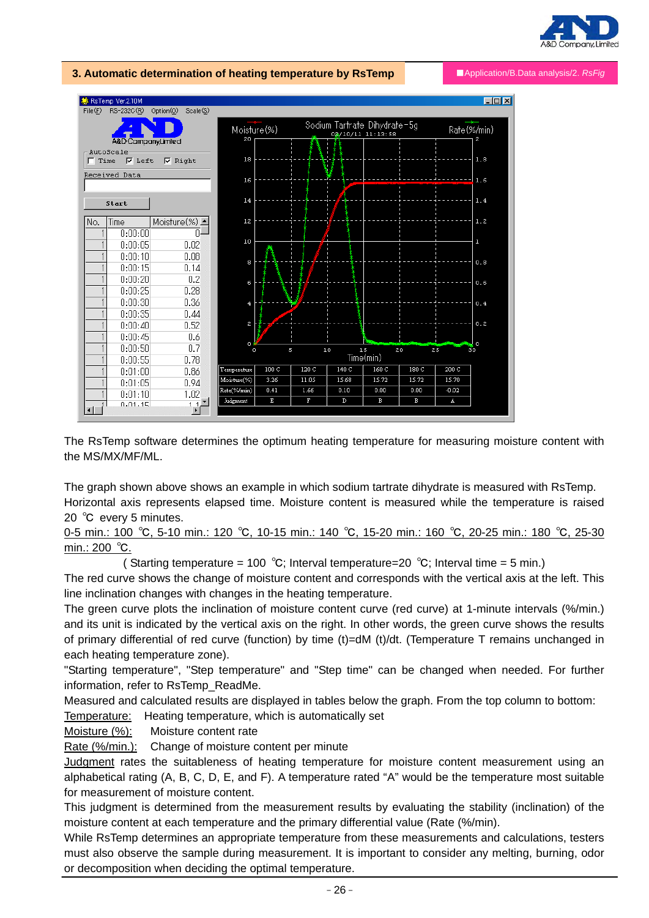



The RsTemp software determines the optimum heating temperature for measuring moisture content with the MS/MX/MF/ML.

 $\overline{D}$ 

 $\overline{B}$ 

 $\overline{B}$ 

A

The graph shown above shows an example in which sodium tartrate dihydrate is measured with RsTemp. Horizontal axis represents elapsed time. Moisture content is measured while the temperature is raised 20 °C every 5 minutes.

0-5 min.: 100 ℃, 5-10 min.: 120 ℃, 10-15 min.: 140 ℃, 15-20 min.: 160 ℃, 20-25 min.: 180 ℃, 25-30 min.: 200 ℃.

( Starting temperature = 100 °C; Interval temperature=20 °C; Interval time = 5 min.)

The red curve shows the change of moisture content and corresponds with the vertical axis at the left. This line inclination changes with changes in the heating temperature.

The green curve plots the inclination of moisture content curve (red curve) at 1-minute intervals (%/min.) and its unit is indicated by the vertical axis on the right. In other words, the green curve shows the results of primary differential of red curve (function) by time (t)=dM (t)/dt. (Temperature T remains unchanged in each heating temperature zone).

"Starting temperature", "Step temperature" and "Step time" can be changed when needed. For further information, refer to RsTemp\_ReadMe.

Measured and calculated results are displayed in tables below the graph. From the top column to bottom:

Temperature: Heating temperature, which is automatically set

Moisture (%): Moisture content rate

Rate (%/min.): Change of moisture content per minute

 $\frac{1}{1}$ 

 $0.01.15$ 

Judgment

l,

 $\overline{\mathbf{r}}$ 

Judgment rates the suitableness of heating temperature for moisture content measurement using an alphabetical rating (A, B, C, D, E, and F). A temperature rated "A" would be the temperature most suitable for measurement of moisture content.

This judgment is determined from the measurement results by evaluating the stability (inclination) of the moisture content at each temperature and the primary differential value (Rate (%/min).

While RsTemp determines an appropriate temperature from these measurements and calculations, testers must also observe the sample during measurement. It is important to consider any melting, burning, odor or decomposition when deciding the optimal temperature.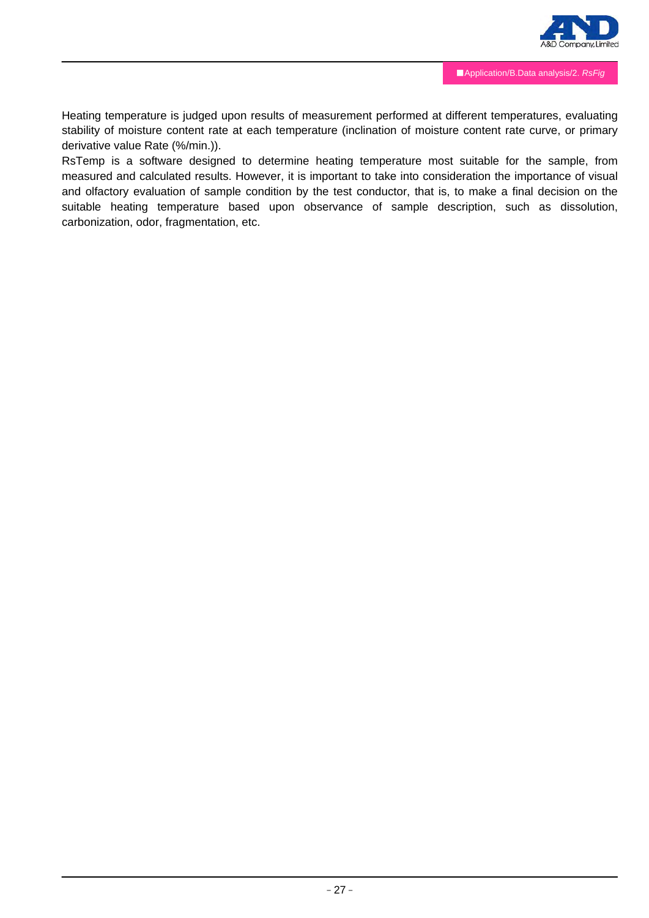

Heating temperature is judged upon results of measurement performed at different temperatures, evaluating stability of moisture content rate at each temperature (inclination of moisture content rate curve, or primary derivative value Rate (%/min.)).

RsTemp is a software designed to determine heating temperature most suitable for the sample, from measured and calculated results. However, it is important to take into consideration the importance of visual and olfactory evaluation of sample condition by the test conductor, that is, to make a final decision on the suitable heating temperature based upon observance of sample description, such as dissolution, carbonization, odor, fragmentation, etc.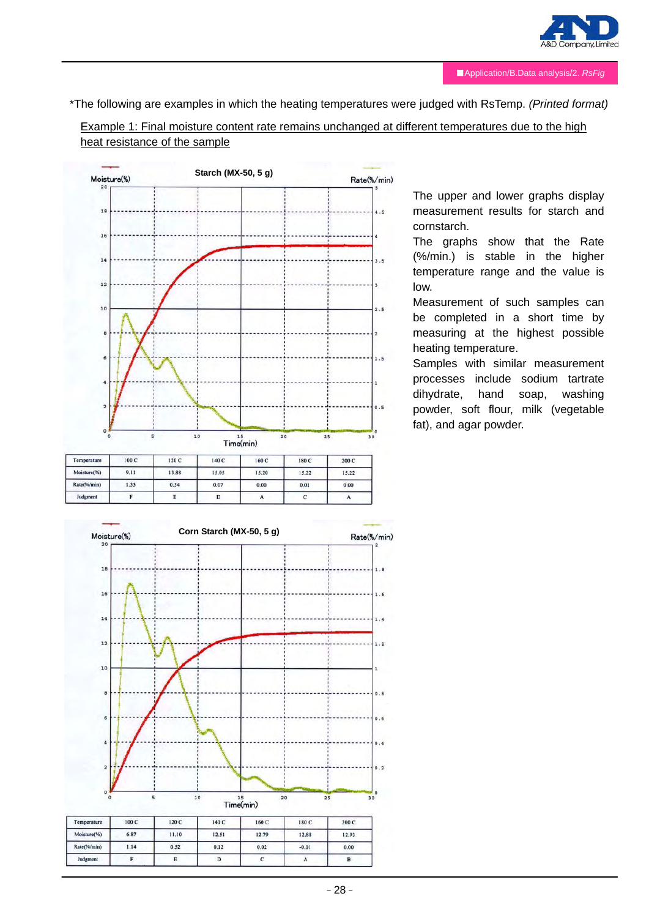

\*The following are examples in which the heating temperatures were judged with RsTemp. *(Printed format)*

Example 1: Final moisture content rate remains unchanged at different temperatures due to the high heat resistance of the sample



The upper and lower graphs display measurement results for starch and cornstarch.

The graphs show that the Rate (%/min.) is stable in the higher temperature range and the value is low.

Measurement of such samples can be completed in a short time by measuring at the highest possible heating temperature.

Samples with similar measurement processes include sodium tartrate dihydrate, hand soap, washing powder, soft flour, milk (vegetable fat), and agar powder.

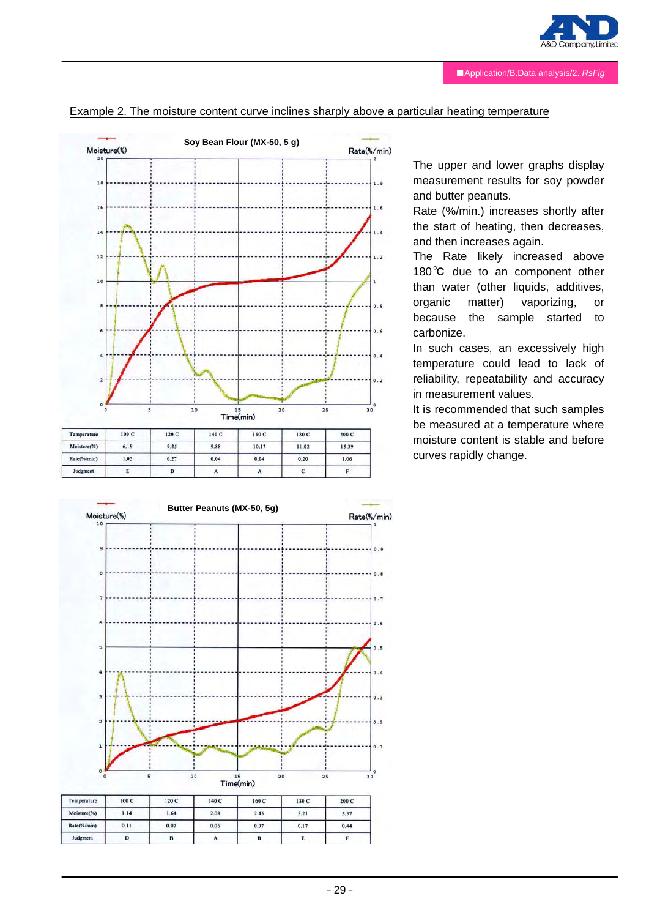



#### Example 2. The moisture content curve inclines sharply above a particular heating temperature



The upper and lower graphs display measurement results for soy powder and butter peanuts.

Rate (%/min.) increases shortly after the start of heating, then decreases, and then increases again.

The Rate likely increased above 180℃ due to an component other than water (other liquids, additives, organic matter) vaporizing, or because the sample started to carbonize.

In such cases, an excessively high temperature could lead to lack of reliability, repeatability and accuracy in measurement values.

It is recommended that such samples be measured at a temperature where moisture content is stable and before curves rapidly change.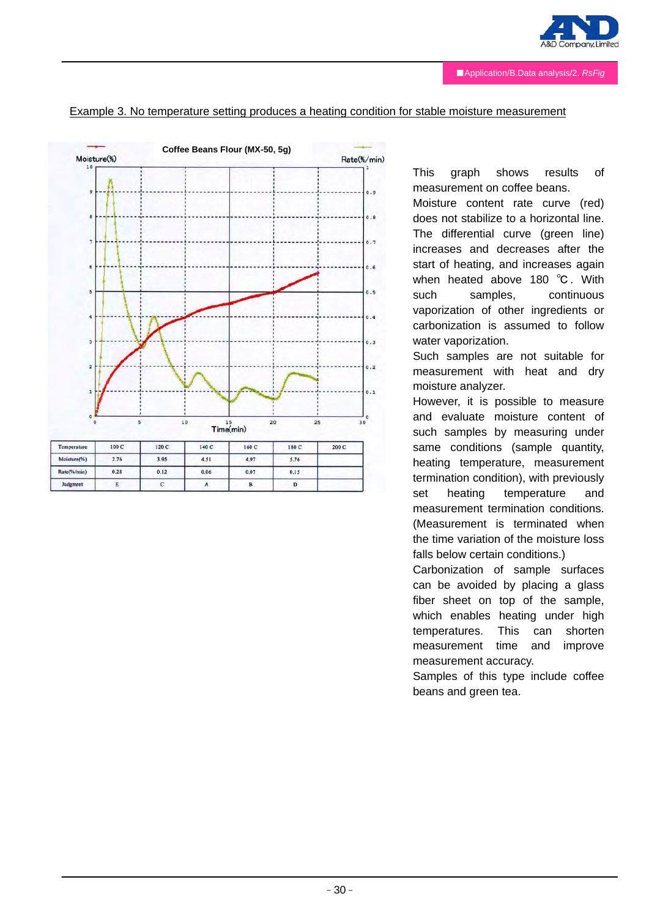

#### Example 3. No temperature setting produces a heating condition for stable moisture measurement



This graph shows results of measurement on coffee beans.

Moisture content rate curve (red) does not stabilize to a horizontal line. The differential curve (green line) increases and decreases after the start of heating, and increases again when heated above 180 ℃. With such samples, continuous vaporization of other ingredients or carbonization is assumed to follow water vaporization.

Such samples are not suitable for measurement with heat and dry moisture analyzer.

However, it is possible to measure and evaluate moisture content of such samples by measuring under same conditions (sample quantity, heating temperature, measurement termination condition), with previously set heating temperature and measurement termination conditions. (Measurement is terminated when the time variation of the moisture loss falls below certain conditions.)

Carbonization of sample surfaces can be avoided by placing a glass fiber sheet on top of the sample, which enables heating under high temperatures. This can shorten measurement time and improve measurement accuracy.

Samples of this type include coffee beans and green tea.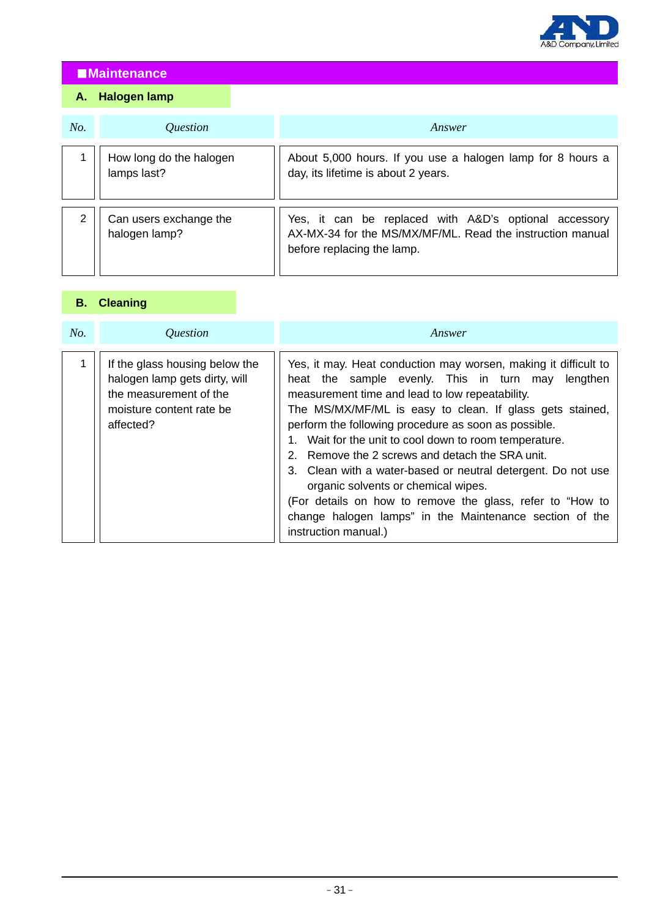

# ■**Maintenance**

# **A. Halogen lamp**

| No. | Question                                | Answer                                                                                                                                           |
|-----|-----------------------------------------|--------------------------------------------------------------------------------------------------------------------------------------------------|
|     | How long do the halogen<br>lamps last?  | About 5,000 hours. If you use a halogen lamp for 8 hours a<br>day, its lifetime is about 2 years.                                                |
| 2   | Can users exchange the<br>halogen lamp? | Yes, it can be replaced with A&D's optional accessory<br>AX-MX-34 for the MS/MX/MF/ML. Read the instruction manual<br>before replacing the lamp. |

# **B. Cleaning**

| No. | <i><u><b>Ouestion</b></u></i>                                                                                                      | Answer                                                                                                                                                                                                                                                                                                                                                                                                                                                                                                                                                                                                                                                             |
|-----|------------------------------------------------------------------------------------------------------------------------------------|--------------------------------------------------------------------------------------------------------------------------------------------------------------------------------------------------------------------------------------------------------------------------------------------------------------------------------------------------------------------------------------------------------------------------------------------------------------------------------------------------------------------------------------------------------------------------------------------------------------------------------------------------------------------|
|     | If the glass housing below the<br>halogen lamp gets dirty, will<br>the measurement of the<br>moisture content rate be<br>affected? | Yes, it may. Heat conduction may worsen, making it difficult to<br>heat the sample evenly. This in turn may<br>lengthen<br>measurement time and lead to low repeatability.<br>The MS/MX/MF/ML is easy to clean. If glass gets stained,<br>perform the following procedure as soon as possible.<br>1. Wait for the unit to cool down to room temperature.<br>2. Remove the 2 screws and detach the SRA unit.<br>3. Clean with a water-based or neutral detergent. Do not use<br>organic solvents or chemical wipes.<br>(For details on how to remove the glass, refer to "How to<br>change halogen lamps" in the Maintenance section of the<br>instruction manual.) |